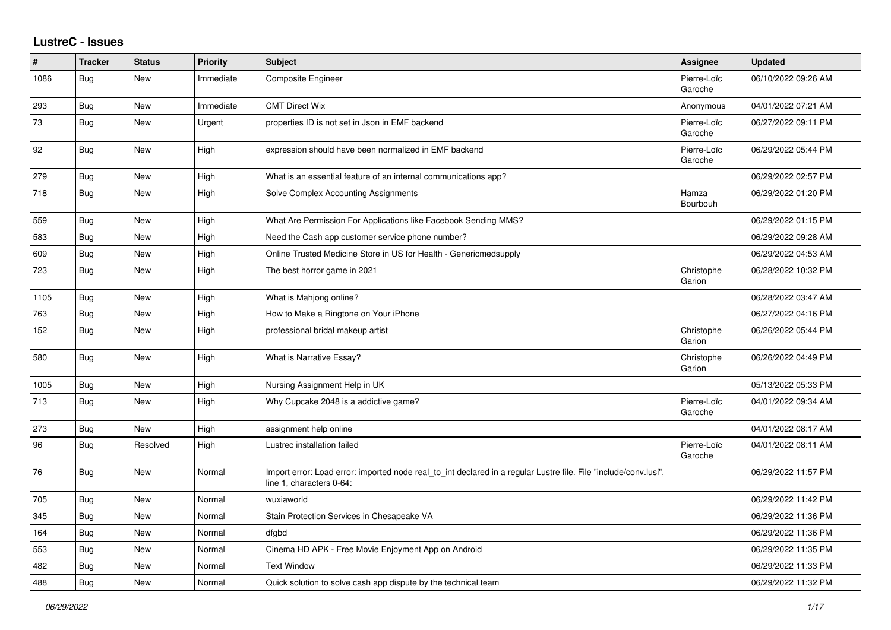## **LustreC - Issues**

| ∦    | <b>Tracker</b> | <b>Status</b> | <b>Priority</b> | <b>Subject</b>                                                                                                                               | <b>Assignee</b>        | <b>Updated</b>      |
|------|----------------|---------------|-----------------|----------------------------------------------------------------------------------------------------------------------------------------------|------------------------|---------------------|
| 1086 | <b>Bug</b>     | <b>New</b>    | Immediate       | Composite Engineer                                                                                                                           | Pierre-Loïc<br>Garoche | 06/10/2022 09:26 AM |
| 293  | Bug            | New           | Immediate       | <b>CMT Direct Wix</b>                                                                                                                        | Anonymous              | 04/01/2022 07:21 AM |
| 73   | <b>Bug</b>     | <b>New</b>    | Urgent          | properties ID is not set in Json in EMF backend                                                                                              | Pierre-Loïc<br>Garoche | 06/27/2022 09:11 PM |
| 92   | <b>Bug</b>     | New           | High            | expression should have been normalized in EMF backend                                                                                        | Pierre-Loïc<br>Garoche | 06/29/2022 05:44 PM |
| 279  | <b>Bug</b>     | <b>New</b>    | High            | What is an essential feature of an internal communications app?                                                                              |                        | 06/29/2022 02:57 PM |
| 718  | <b>Bug</b>     | <b>New</b>    | High            | Solve Complex Accounting Assignments                                                                                                         | Hamza<br>Bourbouh      | 06/29/2022 01:20 PM |
| 559  | Bug            | <b>New</b>    | High            | What Are Permission For Applications like Facebook Sending MMS?                                                                              |                        | 06/29/2022 01:15 PM |
| 583  | Bug            | <b>New</b>    | High            | Need the Cash app customer service phone number?                                                                                             |                        | 06/29/2022 09:28 AM |
| 609  | Bug            | New           | High            | Online Trusted Medicine Store in US for Health - Genericmedsupply                                                                            |                        | 06/29/2022 04:53 AM |
| 723  | <b>Bug</b>     | <b>New</b>    | High            | The best horror game in 2021                                                                                                                 | Christophe<br>Garion   | 06/28/2022 10:32 PM |
| 1105 | Bug            | <b>New</b>    | High            | What is Mahjong online?                                                                                                                      |                        | 06/28/2022 03:47 AM |
| 763  | Bug            | New           | High            | How to Make a Ringtone on Your iPhone                                                                                                        |                        | 06/27/2022 04:16 PM |
| 152  | <b>Bug</b>     | <b>New</b>    | High            | professional bridal makeup artist                                                                                                            | Christophe<br>Garion   | 06/26/2022 05:44 PM |
| 580  | Bug            | <b>New</b>    | High            | What is Narrative Essay?                                                                                                                     | Christophe<br>Garion   | 06/26/2022 04:49 PM |
| 1005 | <b>Bug</b>     | <b>New</b>    | High            | Nursing Assignment Help in UK                                                                                                                |                        | 05/13/2022 05:33 PM |
| 713  | Bug            | <b>New</b>    | High            | Why Cupcake 2048 is a addictive game?                                                                                                        | Pierre-Loïc<br>Garoche | 04/01/2022 09:34 AM |
| 273  | Bug            | New           | High            | assignment help online                                                                                                                       |                        | 04/01/2022 08:17 AM |
| 96   | <b>Bug</b>     | Resolved      | High            | Lustrec installation failed                                                                                                                  | Pierre-Loïc<br>Garoche | 04/01/2022 08:11 AM |
| 76   | <b>Bug</b>     | <b>New</b>    | Normal          | Import error: Load error: imported node real_to_int declared in a regular Lustre file. File "include/conv.lusi",<br>line 1, characters 0-64: |                        | 06/29/2022 11:57 PM |
| 705  | Bug            | <b>New</b>    | Normal          | wuxiaworld                                                                                                                                   |                        | 06/29/2022 11:42 PM |
| 345  | Bug            | <b>New</b>    | Normal          | Stain Protection Services in Chesapeake VA                                                                                                   |                        | 06/29/2022 11:36 PM |
| 164  | Bug            | <b>New</b>    | Normal          | dfgbd                                                                                                                                        |                        | 06/29/2022 11:36 PM |
| 553  | Bug            | New           | Normal          | Cinema HD APK - Free Movie Enjoyment App on Android                                                                                          |                        | 06/29/2022 11:35 PM |
| 482  | <b>Bug</b>     | <b>New</b>    | Normal          | <b>Text Window</b>                                                                                                                           |                        | 06/29/2022 11:33 PM |
| 488  | Bug            | New           | Normal          | Quick solution to solve cash app dispute by the technical team                                                                               |                        | 06/29/2022 11:32 PM |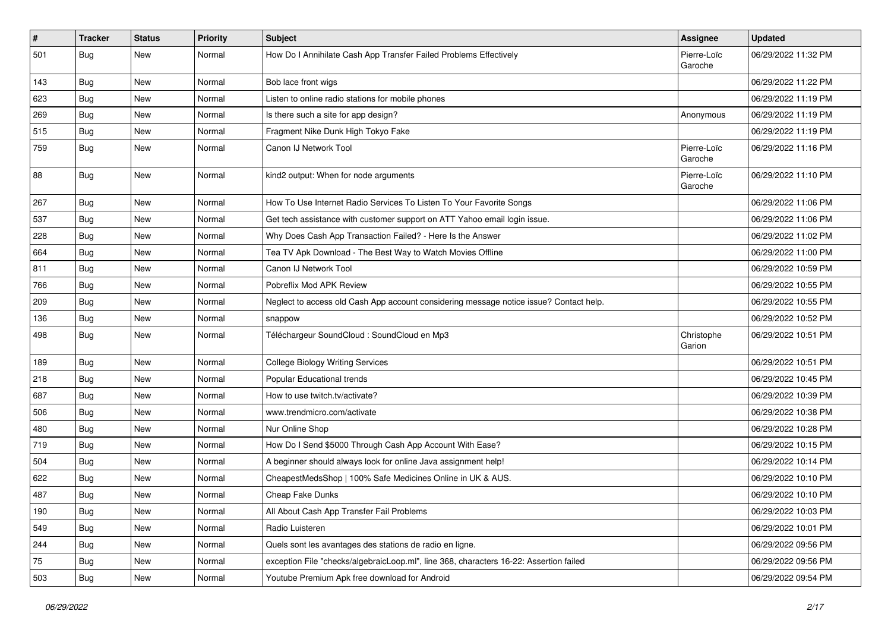| $\#$ | <b>Tracker</b> | <b>Status</b> | <b>Priority</b> | <b>Subject</b>                                                                         | <b>Assignee</b>        | <b>Updated</b>      |
|------|----------------|---------------|-----------------|----------------------------------------------------------------------------------------|------------------------|---------------------|
| 501  | Bug            | New           | Normal          | How Do I Annihilate Cash App Transfer Failed Problems Effectively                      | Pierre-Loïc<br>Garoche | 06/29/2022 11:32 PM |
| 143  | Bug            | New           | Normal          | Bob lace front wigs                                                                    |                        | 06/29/2022 11:22 PM |
| 623  | <b>Bug</b>     | New           | Normal          | Listen to online radio stations for mobile phones                                      |                        | 06/29/2022 11:19 PM |
| 269  | Bug            | New           | Normal          | Is there such a site for app design?                                                   | Anonymous              | 06/29/2022 11:19 PM |
| 515  | <b>Bug</b>     | New           | Normal          | Fragment Nike Dunk High Tokyo Fake                                                     |                        | 06/29/2022 11:19 PM |
| 759  | Bug            | New           | Normal          | Canon IJ Network Tool                                                                  | Pierre-Loïc<br>Garoche | 06/29/2022 11:16 PM |
| 88   | Bug            | New           | Normal          | kind2 output: When for node arguments                                                  | Pierre-Loïc<br>Garoche | 06/29/2022 11:10 PM |
| 267  | Bug            | New           | Normal          | How To Use Internet Radio Services To Listen To Your Favorite Songs                    |                        | 06/29/2022 11:06 PM |
| 537  | <b>Bug</b>     | New           | Normal          | Get tech assistance with customer support on ATT Yahoo email login issue.              |                        | 06/29/2022 11:06 PM |
| 228  | <b>Bug</b>     | New           | Normal          | Why Does Cash App Transaction Failed? - Here Is the Answer                             |                        | 06/29/2022 11:02 PM |
| 664  | <b>Bug</b>     | New           | Normal          | Tea TV Apk Download - The Best Way to Watch Movies Offline                             |                        | 06/29/2022 11:00 PM |
| 811  | <b>Bug</b>     | New           | Normal          | Canon IJ Network Tool                                                                  |                        | 06/29/2022 10:59 PM |
| 766  | <b>Bug</b>     | New           | Normal          | Pobreflix Mod APK Review                                                               |                        | 06/29/2022 10:55 PM |
| 209  | <b>Bug</b>     | New           | Normal          | Neglect to access old Cash App account considering message notice issue? Contact help. |                        | 06/29/2022 10:55 PM |
| 136  | Bug            | New           | Normal          | snappow                                                                                |                        | 06/29/2022 10:52 PM |
| 498  | Bug            | New           | Normal          | Téléchargeur SoundCloud : SoundCloud en Mp3                                            | Christophe<br>Garion   | 06/29/2022 10:51 PM |
| 189  | Bug            | New           | Normal          | <b>College Biology Writing Services</b>                                                |                        | 06/29/2022 10:51 PM |
| 218  | Bug            | New           | Normal          | Popular Educational trends                                                             |                        | 06/29/2022 10:45 PM |
| 687  | Bug            | New           | Normal          | How to use twitch.tv/activate?                                                         |                        | 06/29/2022 10:39 PM |
| 506  | Bug            | New           | Normal          | www.trendmicro.com/activate                                                            |                        | 06/29/2022 10:38 PM |
| 480  | <b>Bug</b>     | New           | Normal          | Nur Online Shop                                                                        |                        | 06/29/2022 10:28 PM |
| 719  | Bug            | New           | Normal          | How Do I Send \$5000 Through Cash App Account With Ease?                               |                        | 06/29/2022 10:15 PM |
| 504  | <b>Bug</b>     | New           | Normal          | A beginner should always look for online Java assignment help!                         |                        | 06/29/2022 10:14 PM |
| 622  | <b>Bug</b>     | New           | Normal          | CheapestMedsShop   100% Safe Medicines Online in UK & AUS.                             |                        | 06/29/2022 10:10 PM |
| 487  | <b>Bug</b>     | New           | Normal          | Cheap Fake Dunks                                                                       |                        | 06/29/2022 10:10 PM |
| 190  | <b>Bug</b>     | New           | Normal          | All About Cash App Transfer Fail Problems                                              |                        | 06/29/2022 10:03 PM |
| 549  | <b>Bug</b>     | New           | Normal          | Radio Luisteren                                                                        |                        | 06/29/2022 10:01 PM |
| 244  | <b>Bug</b>     | New           | Normal          | Quels sont les avantages des stations de radio en ligne.                               |                        | 06/29/2022 09:56 PM |
| 75   | <b>Bug</b>     | New           | Normal          | exception File "checks/algebraicLoop.ml", line 368, characters 16-22: Assertion failed |                        | 06/29/2022 09:56 PM |
| 503  | <b>Bug</b>     | New           | Normal          | Youtube Premium Apk free download for Android                                          |                        | 06/29/2022 09:54 PM |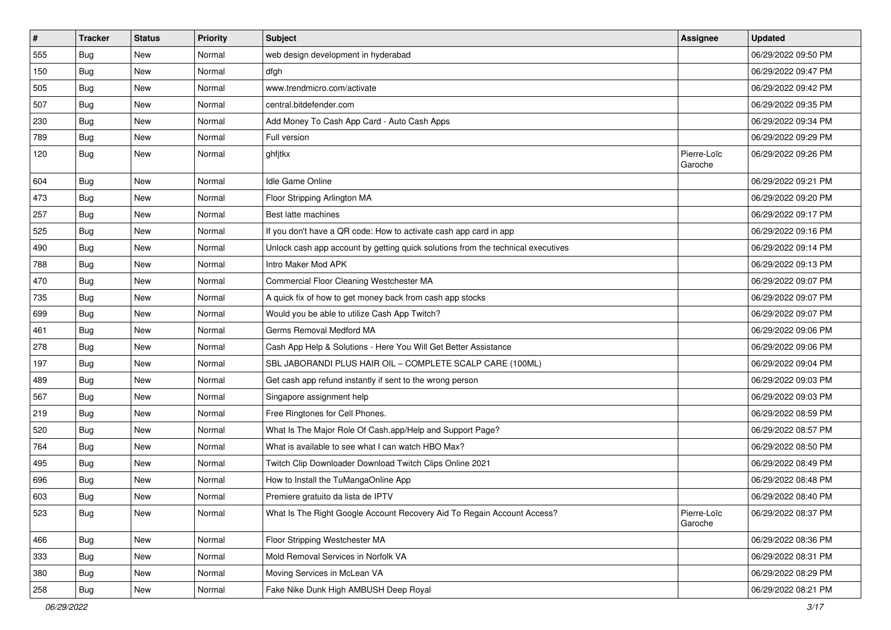| $\vert$ # | <b>Tracker</b> | <b>Status</b> | <b>Priority</b> | Subject                                                                          | <b>Assignee</b>        | <b>Updated</b>      |
|-----------|----------------|---------------|-----------------|----------------------------------------------------------------------------------|------------------------|---------------------|
| 555       | Bug            | New           | Normal          | web design development in hyderabad                                              |                        | 06/29/2022 09:50 PM |
| 150       | <b>Bug</b>     | New           | Normal          | dfgh                                                                             |                        | 06/29/2022 09:47 PM |
| 505       | Bug            | New           | Normal          | www.trendmicro.com/activate                                                      |                        | 06/29/2022 09:42 PM |
| 507       | <b>Bug</b>     | New           | Normal          | central.bitdefender.com                                                          |                        | 06/29/2022 09:35 PM |
| 230       | <b>Bug</b>     | New           | Normal          | Add Money To Cash App Card - Auto Cash Apps                                      |                        | 06/29/2022 09:34 PM |
| 789       | <b>Bug</b>     | New           | Normal          | Full version                                                                     |                        | 06/29/2022 09:29 PM |
| 120       | Bug            | New           | Normal          | ghfjtkx                                                                          | Pierre-Loïc<br>Garoche | 06/29/2022 09:26 PM |
| 604       | Bug            | New           | Normal          | Idle Game Online                                                                 |                        | 06/29/2022 09:21 PM |
| 473       | Bug            | <b>New</b>    | Normal          | Floor Stripping Arlington MA                                                     |                        | 06/29/2022 09:20 PM |
| 257       | Bug            | New           | Normal          | Best latte machines                                                              |                        | 06/29/2022 09:17 PM |
| 525       | <b>Bug</b>     | <b>New</b>    | Normal          | If you don't have a QR code: How to activate cash app card in app                |                        | 06/29/2022 09:16 PM |
| 490       | Bug            | New           | Normal          | Unlock cash app account by getting quick solutions from the technical executives |                        | 06/29/2022 09:14 PM |
| 788       | Bug            | New           | Normal          | Intro Maker Mod APK                                                              |                        | 06/29/2022 09:13 PM |
| 470       | <b>Bug</b>     | New           | Normal          | Commercial Floor Cleaning Westchester MA                                         |                        | 06/29/2022 09:07 PM |
| 735       | <b>Bug</b>     | New           | Normal          | A quick fix of how to get money back from cash app stocks                        |                        | 06/29/2022 09:07 PM |
| 699       | <b>Bug</b>     | New           | Normal          | Would you be able to utilize Cash App Twitch?                                    |                        | 06/29/2022 09:07 PM |
| 461       | Bug            | New           | Normal          | Germs Removal Medford MA                                                         |                        | 06/29/2022 09:06 PM |
| 278       | <b>Bug</b>     | New           | Normal          | Cash App Help & Solutions - Here You Will Get Better Assistance                  |                        | 06/29/2022 09:06 PM |
| 197       | Bug            | New           | Normal          | SBL JABORANDI PLUS HAIR OIL - COMPLETE SCALP CARE (100ML)                        |                        | 06/29/2022 09:04 PM |
| 489       | Bug            | <b>New</b>    | Normal          | Get cash app refund instantly if sent to the wrong person                        |                        | 06/29/2022 09:03 PM |
| 567       | <b>Bug</b>     | New           | Normal          | Singapore assignment help                                                        |                        | 06/29/2022 09:03 PM |
| 219       | Bug            | New           | Normal          | Free Ringtones for Cell Phones.                                                  |                        | 06/29/2022 08:59 PM |
| 520       | <b>Bug</b>     | New           | Normal          | What Is The Major Role Of Cash.app/Help and Support Page?                        |                        | 06/29/2022 08:57 PM |
| 764       | Bug            | New           | Normal          | What is available to see what I can watch HBO Max?                               |                        | 06/29/2022 08:50 PM |
| 495       | <b>Bug</b>     | New           | Normal          | Twitch Clip Downloader Download Twitch Clips Online 2021                         |                        | 06/29/2022 08:49 PM |
| 696       | Bug            | New           | Normal          | How to Install the TuMangaOnline App                                             |                        | 06/29/2022 08:48 PM |
| 603       | Bug            | New           | Normal          | Premiere gratuito da lista de IPTV                                               |                        | 06/29/2022 08:40 PM |
| 523       | <b>Bug</b>     | New           | Normal          | What Is The Right Google Account Recovery Aid To Regain Account Access?          | Pierre-Loïc<br>Garoche | 06/29/2022 08:37 PM |
| 466       | <b>Bug</b>     | New           | Normal          | Floor Stripping Westchester MA                                                   |                        | 06/29/2022 08:36 PM |
| 333       | <b>Bug</b>     | New           | Normal          | Mold Removal Services in Norfolk VA                                              |                        | 06/29/2022 08:31 PM |
| 380       | <b>Bug</b>     | New           | Normal          | Moving Services in McLean VA                                                     |                        | 06/29/2022 08:29 PM |
| 258       | <b>Bug</b>     | New           | Normal          | Fake Nike Dunk High AMBUSH Deep Royal                                            |                        | 06/29/2022 08:21 PM |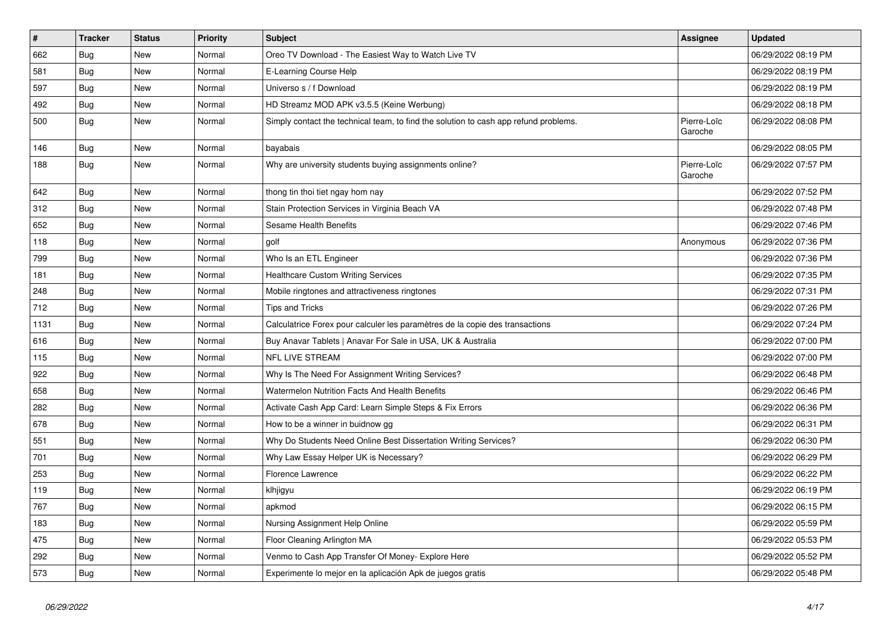| $\pmb{\#}$ | <b>Tracker</b> | <b>Status</b> | Priority | <b>Subject</b>                                                                       | <b>Assignee</b>        | <b>Updated</b>      |
|------------|----------------|---------------|----------|--------------------------------------------------------------------------------------|------------------------|---------------------|
| 662        | <b>Bug</b>     | New           | Normal   | Oreo TV Download - The Easiest Way to Watch Live TV                                  |                        | 06/29/2022 08:19 PM |
| 581        | Bug            | New           | Normal   | E-Learning Course Help                                                               |                        | 06/29/2022 08:19 PM |
| 597        | Bug            | New           | Normal   | Universo s / f Download                                                              |                        | 06/29/2022 08:19 PM |
| 492        | Bug            | New           | Normal   | HD Streamz MOD APK v3.5.5 (Keine Werbung)                                            |                        | 06/29/2022 08:18 PM |
| 500        | Bug            | New           | Normal   | Simply contact the technical team, to find the solution to cash app refund problems. | Pierre-Loïc<br>Garoche | 06/29/2022 08:08 PM |
| 146        | Bug            | New           | Normal   | bayabais                                                                             |                        | 06/29/2022 08:05 PM |
| 188        | <b>Bug</b>     | <b>New</b>    | Normal   | Why are university students buying assignments online?                               | Pierre-Loïc<br>Garoche | 06/29/2022 07:57 PM |
| 642        | <b>Bug</b>     | <b>New</b>    | Normal   | thong tin thoi tiet ngay hom nay                                                     |                        | 06/29/2022 07:52 PM |
| 312        | Bug            | <b>New</b>    | Normal   | Stain Protection Services in Virginia Beach VA                                       |                        | 06/29/2022 07:48 PM |
| 652        | Bug            | New           | Normal   | Sesame Health Benefits                                                               |                        | 06/29/2022 07:46 PM |
| 118        | Bug            | New           | Normal   | golf                                                                                 | Anonymous              | 06/29/2022 07:36 PM |
| 799        | Bug            | New           | Normal   | Who Is an ETL Engineer                                                               |                        | 06/29/2022 07:36 PM |
| 181        | Bug            | New           | Normal   | <b>Healthcare Custom Writing Services</b>                                            |                        | 06/29/2022 07:35 PM |
| 248        | Bug            | New           | Normal   | Mobile ringtones and attractiveness ringtones                                        |                        | 06/29/2022 07:31 PM |
| 712        | Bug            | New           | Normal   | Tips and Tricks                                                                      |                        | 06/29/2022 07:26 PM |
| 1131       | <b>Bug</b>     | New           | Normal   | Calculatrice Forex pour calculer les paramètres de la copie des transactions         |                        | 06/29/2022 07:24 PM |
| 616        | <b>Bug</b>     | New           | Normal   | Buy Anavar Tablets   Anavar For Sale in USA, UK & Australia                          |                        | 06/29/2022 07:00 PM |
| 115        | <b>Bug</b>     | New           | Normal   | <b>NFL LIVE STREAM</b>                                                               |                        | 06/29/2022 07:00 PM |
| 922        | Bug            | New           | Normal   | Why Is The Need For Assignment Writing Services?                                     |                        | 06/29/2022 06:48 PM |
| 658        | Bug            | New           | Normal   | <b>Watermelon Nutrition Facts And Health Benefits</b>                                |                        | 06/29/2022 06:46 PM |
| 282        | Bug            | New           | Normal   | Activate Cash App Card: Learn Simple Steps & Fix Errors                              |                        | 06/29/2022 06:36 PM |
| 678        | Bug            | New           | Normal   | How to be a winner in buidnow gg                                                     |                        | 06/29/2022 06:31 PM |
| 551        | Bug            | New           | Normal   | Why Do Students Need Online Best Dissertation Writing Services?                      |                        | 06/29/2022 06:30 PM |
| 701        | Bug            | New           | Normal   | Why Law Essay Helper UK is Necessary?                                                |                        | 06/29/2022 06:29 PM |
| 253        | Bug            | New           | Normal   | Florence Lawrence                                                                    |                        | 06/29/2022 06:22 PM |
| 119        | <b>Bug</b>     | New           | Normal   | klhjigyu                                                                             |                        | 06/29/2022 06:19 PM |
| 767        | <b>Bug</b>     | New           | Normal   | apkmod                                                                               |                        | 06/29/2022 06:15 PM |
| 183        | <b>Bug</b>     | New           | Normal   | Nursing Assignment Help Online                                                       |                        | 06/29/2022 05:59 PM |
| 475        | Bug            | New           | Normal   | Floor Cleaning Arlington MA                                                          |                        | 06/29/2022 05:53 PM |
| 292        | <b>Bug</b>     | <b>New</b>    | Normal   | Venmo to Cash App Transfer Of Money- Explore Here                                    |                        | 06/29/2022 05:52 PM |
| 573        | <b>Bug</b>     | <b>New</b>    | Normal   | Experimente lo mejor en la aplicación Apk de juegos gratis                           |                        | 06/29/2022 05:48 PM |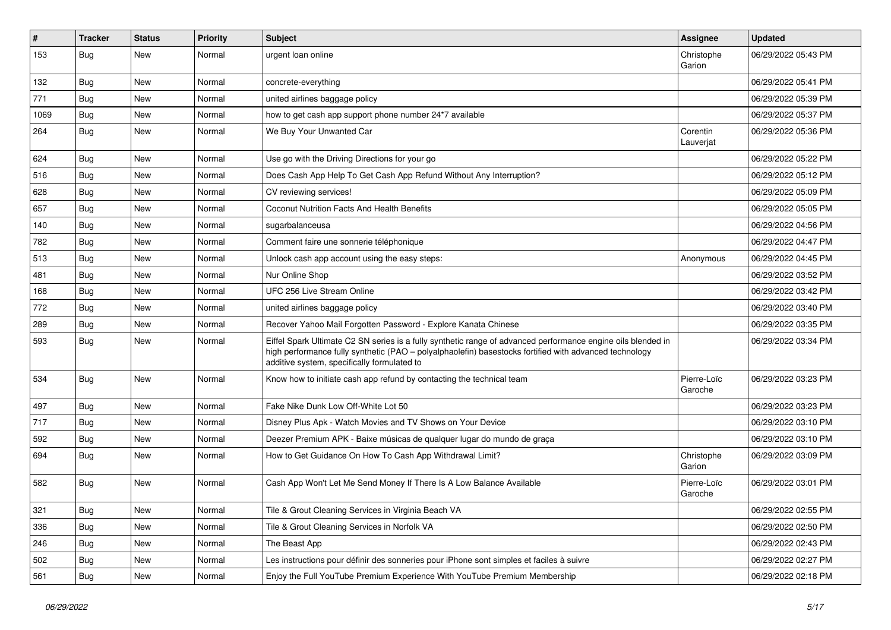| $\#$ | <b>Tracker</b> | <b>Status</b> | <b>Priority</b> | <b>Subject</b>                                                                                                                                                                                                                                                        | <b>Assignee</b>        | <b>Updated</b>      |
|------|----------------|---------------|-----------------|-----------------------------------------------------------------------------------------------------------------------------------------------------------------------------------------------------------------------------------------------------------------------|------------------------|---------------------|
| 153  | <b>Bug</b>     | New           | Normal          | urgent loan online                                                                                                                                                                                                                                                    | Christophe<br>Garion   | 06/29/2022 05:43 PM |
| 132  | <b>Bug</b>     | New           | Normal          | concrete-everything                                                                                                                                                                                                                                                   |                        | 06/29/2022 05:41 PM |
| 771  | <b>Bug</b>     | New           | Normal          | united airlines baggage policy                                                                                                                                                                                                                                        |                        | 06/29/2022 05:39 PM |
| 1069 | Bug            | New           | Normal          | how to get cash app support phone number 24*7 available                                                                                                                                                                                                               |                        | 06/29/2022 05:37 PM |
| 264  | <b>Bug</b>     | New           | Normal          | We Buy Your Unwanted Car                                                                                                                                                                                                                                              | Corentin<br>Lauverjat  | 06/29/2022 05:36 PM |
| 624  | <b>Bug</b>     | New           | Normal          | Use go with the Driving Directions for your go                                                                                                                                                                                                                        |                        | 06/29/2022 05:22 PM |
| 516  | <b>Bug</b>     | New           | Normal          | Does Cash App Help To Get Cash App Refund Without Any Interruption?                                                                                                                                                                                                   |                        | 06/29/2022 05:12 PM |
| 628  | Bug            | New           | Normal          | CV reviewing services!                                                                                                                                                                                                                                                |                        | 06/29/2022 05:09 PM |
| 657  | <b>Bug</b>     | New           | Normal          | Coconut Nutrition Facts And Health Benefits                                                                                                                                                                                                                           |                        | 06/29/2022 05:05 PM |
| 140  | Bug            | New           | Normal          | sugarbalanceusa                                                                                                                                                                                                                                                       |                        | 06/29/2022 04:56 PM |
| 782  | Bug            | New           | Normal          | Comment faire une sonnerie téléphonique                                                                                                                                                                                                                               |                        | 06/29/2022 04:47 PM |
| 513  | <b>Bug</b>     | New           | Normal          | Unlock cash app account using the easy steps:                                                                                                                                                                                                                         | Anonymous              | 06/29/2022 04:45 PM |
| 481  | Bug            | New           | Normal          | Nur Online Shop                                                                                                                                                                                                                                                       |                        | 06/29/2022 03:52 PM |
| 168  | Bug            | New           | Normal          | UFC 256 Live Stream Online                                                                                                                                                                                                                                            |                        | 06/29/2022 03:42 PM |
| 772  | <b>Bug</b>     | New           | Normal          | united airlines baggage policy                                                                                                                                                                                                                                        |                        | 06/29/2022 03:40 PM |
| 289  | <b>Bug</b>     | New           | Normal          | Recover Yahoo Mail Forgotten Password - Explore Kanata Chinese                                                                                                                                                                                                        |                        | 06/29/2022 03:35 PM |
| 593  | Bug            | New           | Normal          | Eiffel Spark Ultimate C2 SN series is a fully synthetic range of advanced performance engine oils blended in<br>high performance fully synthetic (PAO - polyalphaolefin) basestocks fortified with advanced technology<br>additive system, specifically formulated to |                        | 06/29/2022 03:34 PM |
| 534  | Bug            | New           | Normal          | Know how to initiate cash app refund by contacting the technical team                                                                                                                                                                                                 | Pierre-Loïc<br>Garoche | 06/29/2022 03:23 PM |
| 497  | <b>Bug</b>     | New           | Normal          | Fake Nike Dunk Low Off-White Lot 50                                                                                                                                                                                                                                   |                        | 06/29/2022 03:23 PM |
| 717  | <b>Bug</b>     | New           | Normal          | Disney Plus Apk - Watch Movies and TV Shows on Your Device                                                                                                                                                                                                            |                        | 06/29/2022 03:10 PM |
| 592  | Bug            | New           | Normal          | Deezer Premium APK - Baixe músicas de qualquer lugar do mundo de graça                                                                                                                                                                                                |                        | 06/29/2022 03:10 PM |
| 694  | Bug            | New           | Normal          | How to Get Guidance On How To Cash App Withdrawal Limit?                                                                                                                                                                                                              | Christophe<br>Garion   | 06/29/2022 03:09 PM |
| 582  | Bug            | New           | Normal          | Cash App Won't Let Me Send Money If There Is A Low Balance Available                                                                                                                                                                                                  | Pierre-Loïc<br>Garoche | 06/29/2022 03:01 PM |
| 321  | Bug            | New           | Normal          | Tile & Grout Cleaning Services in Virginia Beach VA                                                                                                                                                                                                                   |                        | 06/29/2022 02:55 PM |
| 336  | Bug            | New           | Normal          | Tile & Grout Cleaning Services in Norfolk VA                                                                                                                                                                                                                          |                        | 06/29/2022 02:50 PM |
| 246  | Bug            | New           | Normal          | The Beast App                                                                                                                                                                                                                                                         |                        | 06/29/2022 02:43 PM |
| 502  | Bug            | New           | Normal          | Les instructions pour définir des sonneries pour iPhone sont simples et faciles à suivre                                                                                                                                                                              |                        | 06/29/2022 02:27 PM |
| 561  | <b>Bug</b>     | New           | Normal          | Enjoy the Full YouTube Premium Experience With YouTube Premium Membership                                                                                                                                                                                             |                        | 06/29/2022 02:18 PM |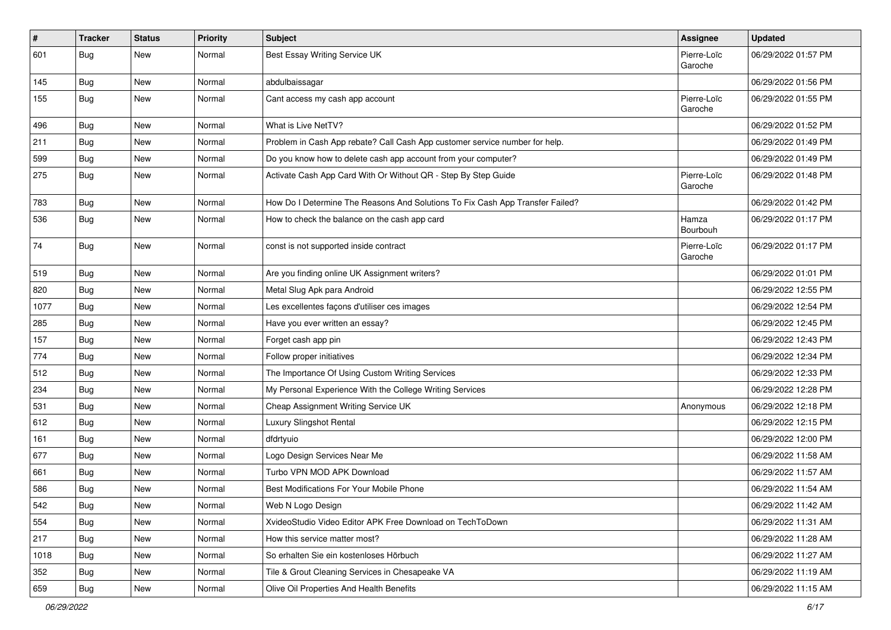| $\sharp$ | <b>Tracker</b> | <b>Status</b> | Priority | Subject                                                                       | Assignee               | <b>Updated</b>      |
|----------|----------------|---------------|----------|-------------------------------------------------------------------------------|------------------------|---------------------|
| 601      | <b>Bug</b>     | New           | Normal   | Best Essay Writing Service UK                                                 | Pierre-Loïc<br>Garoche | 06/29/2022 01:57 PM |
| 145      | <b>Bug</b>     | New           | Normal   | abdulbaissagar                                                                |                        | 06/29/2022 01:56 PM |
| 155      | <b>Bug</b>     | New           | Normal   | Cant access my cash app account                                               | Pierre-Loïc<br>Garoche | 06/29/2022 01:55 PM |
| 496      | Bug            | New           | Normal   | What is Live NetTV?                                                           |                        | 06/29/2022 01:52 PM |
| 211      | <b>Bug</b>     | New           | Normal   | Problem in Cash App rebate? Call Cash App customer service number for help.   |                        | 06/29/2022 01:49 PM |
| 599      | <b>Bug</b>     | New           | Normal   | Do you know how to delete cash app account from your computer?                |                        | 06/29/2022 01:49 PM |
| 275      | <b>Bug</b>     | New           | Normal   | Activate Cash App Card With Or Without QR - Step By Step Guide                | Pierre-Loïc<br>Garoche | 06/29/2022 01:48 PM |
| 783      | Bug            | New           | Normal   | How Do I Determine The Reasons And Solutions To Fix Cash App Transfer Failed? |                        | 06/29/2022 01:42 PM |
| 536      | <b>Bug</b>     | New           | Normal   | How to check the balance on the cash app card                                 | Hamza<br>Bourbouh      | 06/29/2022 01:17 PM |
| 74       | Bug            | New           | Normal   | const is not supported inside contract                                        | Pierre-Loïc<br>Garoche | 06/29/2022 01:17 PM |
| 519      | Bug            | New           | Normal   | Are you finding online UK Assignment writers?                                 |                        | 06/29/2022 01:01 PM |
| 820      | Bug            | New           | Normal   | Metal Slug Apk para Android                                                   |                        | 06/29/2022 12:55 PM |
| 1077     | Bug            | New           | Normal   | Les excellentes façons d'utiliser ces images                                  |                        | 06/29/2022 12:54 PM |
| 285      | Bug            | New           | Normal   | Have you ever written an essay?                                               |                        | 06/29/2022 12:45 PM |
| 157      | Bug            | New           | Normal   | Forget cash app pin                                                           |                        | 06/29/2022 12:43 PM |
| 774      | <b>Bug</b>     | New           | Normal   | Follow proper initiatives                                                     |                        | 06/29/2022 12:34 PM |
| 512      | <b>Bug</b>     | New           | Normal   | The Importance Of Using Custom Writing Services                               |                        | 06/29/2022 12:33 PM |
| 234      | <b>Bug</b>     | New           | Normal   | My Personal Experience With the College Writing Services                      |                        | 06/29/2022 12:28 PM |
| 531      | <b>Bug</b>     | New           | Normal   | Cheap Assignment Writing Service UK                                           | Anonymous              | 06/29/2022 12:18 PM |
| 612      | <b>Bug</b>     | New           | Normal   | Luxury Slingshot Rental                                                       |                        | 06/29/2022 12:15 PM |
| 161      | Bug            | New           | Normal   | dfdrtyuio                                                                     |                        | 06/29/2022 12:00 PM |
| 677      | <b>Bug</b>     | New           | Normal   | Logo Design Services Near Me                                                  |                        | 06/29/2022 11:58 AM |
| 661      | <b>Bug</b>     | New           | Normal   | Turbo VPN MOD APK Download                                                    |                        | 06/29/2022 11:57 AM |
| 586      | <b>Bug</b>     | New           | Normal   | Best Modifications For Your Mobile Phone                                      |                        | 06/29/2022 11:54 AM |
| 542      | Bug            | New           | Normal   | Web N Logo Design                                                             |                        | 06/29/2022 11:42 AM |
| 554      | <b>Bug</b>     | New           | Normal   | XvideoStudio Video Editor APK Free Download on TechToDown                     |                        | 06/29/2022 11:31 AM |
| 217      | Bug            | New           | Normal   | How this service matter most?                                                 |                        | 06/29/2022 11:28 AM |
| 1018     | <b>Bug</b>     | New           | Normal   | So erhalten Sie ein kostenloses Hörbuch                                       |                        | 06/29/2022 11:27 AM |
| 352      | Bug            | New           | Normal   | Tile & Grout Cleaning Services in Chesapeake VA                               |                        | 06/29/2022 11:19 AM |
| 659      | <b>Bug</b>     | New           | Normal   | Olive Oil Properties And Health Benefits                                      |                        | 06/29/2022 11:15 AM |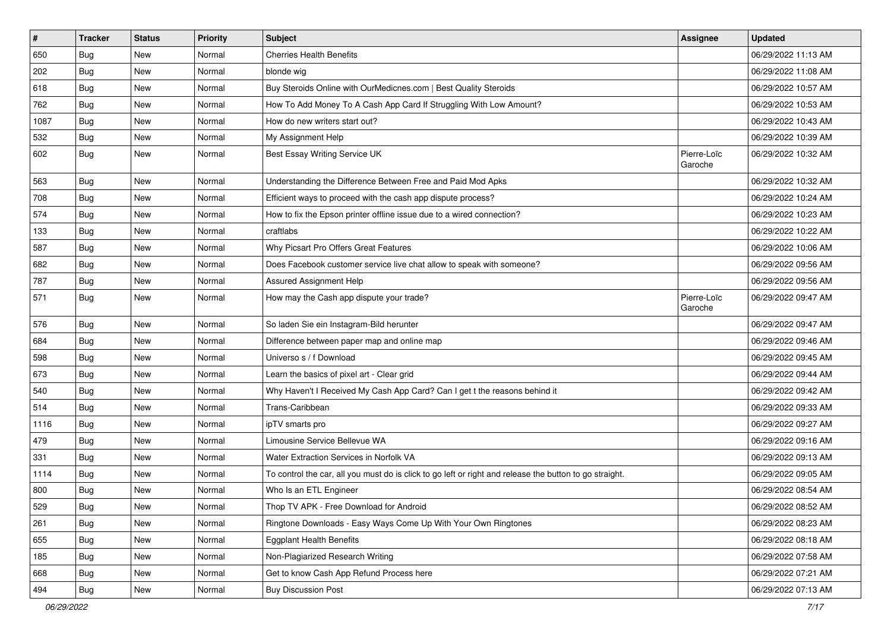| $\sharp$ | <b>Tracker</b> | <b>Status</b> | <b>Priority</b> | Subject                                                                                                 | <b>Assignee</b>        | <b>Updated</b>      |
|----------|----------------|---------------|-----------------|---------------------------------------------------------------------------------------------------------|------------------------|---------------------|
| 650      | <b>Bug</b>     | New           | Normal          | <b>Cherries Health Benefits</b>                                                                         |                        | 06/29/2022 11:13 AM |
| 202      | Bug            | <b>New</b>    | Normal          | blonde wig                                                                                              |                        | 06/29/2022 11:08 AM |
| 618      | Bug            | New           | Normal          | Buy Steroids Online with OurMedicnes.com   Best Quality Steroids                                        |                        | 06/29/2022 10:57 AM |
| 762      | Bug            | <b>New</b>    | Normal          | How To Add Money To A Cash App Card If Struggling With Low Amount?                                      |                        | 06/29/2022 10:53 AM |
| 1087     | <b>Bug</b>     | <b>New</b>    | Normal          | How do new writers start out?                                                                           |                        | 06/29/2022 10:43 AM |
| 532      | <b>Bug</b>     | New           | Normal          | My Assignment Help                                                                                      |                        | 06/29/2022 10:39 AM |
| 602      | <b>Bug</b>     | New           | Normal          | Best Essay Writing Service UK                                                                           | Pierre-Loïc<br>Garoche | 06/29/2022 10:32 AM |
| 563      | Bug            | <b>New</b>    | Normal          | Understanding the Difference Between Free and Paid Mod Apks                                             |                        | 06/29/2022 10:32 AM |
| 708      | Bug            | <b>New</b>    | Normal          | Efficient ways to proceed with the cash app dispute process?                                            |                        | 06/29/2022 10:24 AM |
| 574      | Bug            | New           | Normal          | How to fix the Epson printer offline issue due to a wired connection?                                   |                        | 06/29/2022 10:23 AM |
| 133      | Bug            | <b>New</b>    | Normal          | craftlabs                                                                                               |                        | 06/29/2022 10:22 AM |
| 587      | Bug            | <b>New</b>    | Normal          | Why Picsart Pro Offers Great Features                                                                   |                        | 06/29/2022 10:06 AM |
| 682      | <b>Bug</b>     | New           | Normal          | Does Facebook customer service live chat allow to speak with someone?                                   |                        | 06/29/2022 09:56 AM |
| 787      | Bug            | <b>New</b>    | Normal          | <b>Assured Assignment Help</b>                                                                          |                        | 06/29/2022 09:56 AM |
| 571      | Bug            | <b>New</b>    | Normal          | How may the Cash app dispute your trade?                                                                | Pierre-Loïc<br>Garoche | 06/29/2022 09:47 AM |
| 576      | Bug            | <b>New</b>    | Normal          | So laden Sie ein Instagram-Bild herunter                                                                |                        | 06/29/2022 09:47 AM |
| 684      | Bug            | New           | Normal          | Difference between paper map and online map                                                             |                        | 06/29/2022 09:46 AM |
| 598      | <b>Bug</b>     | <b>New</b>    | Normal          | Universo s / f Download                                                                                 |                        | 06/29/2022 09:45 AM |
| 673      | Bug            | <b>New</b>    | Normal          | Learn the basics of pixel art - Clear grid                                                              |                        | 06/29/2022 09:44 AM |
| 540      | Bug            | New           | Normal          | Why Haven't I Received My Cash App Card? Can I get t the reasons behind it                              |                        | 06/29/2022 09:42 AM |
| 514      | Bug            | <b>New</b>    | Normal          | Trans-Caribbean                                                                                         |                        | 06/29/2022 09:33 AM |
| 1116     | <b>Bug</b>     | New           | Normal          | ipTV smarts pro                                                                                         |                        | 06/29/2022 09:27 AM |
| 479      | <b>Bug</b>     | <b>New</b>    | Normal          | Limousine Service Bellevue WA                                                                           |                        | 06/29/2022 09:16 AM |
| 331      | Bug            | <b>New</b>    | Normal          | Water Extraction Services in Norfolk VA                                                                 |                        | 06/29/2022 09:13 AM |
| 1114     | <b>Bug</b>     | New           | Normal          | To control the car, all you must do is click to go left or right and release the button to go straight. |                        | 06/29/2022 09:05 AM |
| 800      | <b>Bug</b>     | New           | Normal          | Who Is an ETL Engineer                                                                                  |                        | 06/29/2022 08:54 AM |
| 529      | <b>Bug</b>     | New           | Normal          | Thop TV APK - Free Download for Android                                                                 |                        | 06/29/2022 08:52 AM |
| 261      | Bug            | New           | Normal          | Ringtone Downloads - Easy Ways Come Up With Your Own Ringtones                                          |                        | 06/29/2022 08:23 AM |
| 655      | Bug            | New           | Normal          | <b>Eggplant Health Benefits</b>                                                                         |                        | 06/29/2022 08:18 AM |
| 185      | <b>Bug</b>     | New           | Normal          | Non-Plagiarized Research Writing                                                                        |                        | 06/29/2022 07:58 AM |
| 668      | <b>Bug</b>     | New           | Normal          | Get to know Cash App Refund Process here                                                                |                        | 06/29/2022 07:21 AM |
| 494      | <b>Bug</b>     | New           | Normal          | <b>Buy Discussion Post</b>                                                                              |                        | 06/29/2022 07:13 AM |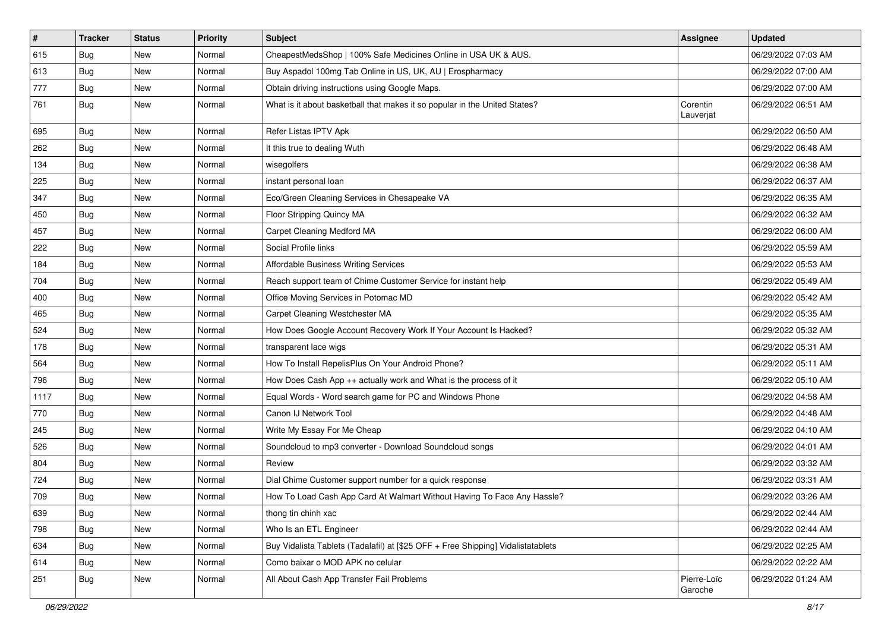| $\vert$ # | <b>Tracker</b> | <b>Status</b> | <b>Priority</b> | Subject                                                                          | <b>Assignee</b>        | <b>Updated</b>      |
|-----------|----------------|---------------|-----------------|----------------------------------------------------------------------------------|------------------------|---------------------|
| 615       | <b>Bug</b>     | New           | Normal          | CheapestMedsShop   100% Safe Medicines Online in USA UK & AUS.                   |                        | 06/29/2022 07:03 AM |
| 613       | <b>Bug</b>     | New           | Normal          | Buy Aspadol 100mg Tab Online in US, UK, AU   Erospharmacy                        |                        | 06/29/2022 07:00 AM |
| 777       | <b>Bug</b>     | New           | Normal          | Obtain driving instructions using Google Maps.                                   |                        | 06/29/2022 07:00 AM |
| 761       | Bug            | New           | Normal          | What is it about basketball that makes it so popular in the United States?       | Corentin<br>Lauverjat  | 06/29/2022 06:51 AM |
| 695       | <b>Bug</b>     | New           | Normal          | Refer Listas IPTV Apk                                                            |                        | 06/29/2022 06:50 AM |
| 262       | Bug            | New           | Normal          | It this true to dealing Wuth                                                     |                        | 06/29/2022 06:48 AM |
| 134       | Bug            | New           | Normal          | wisegolfers                                                                      |                        | 06/29/2022 06:38 AM |
| 225       | <b>Bug</b>     | New           | Normal          | instant personal loan                                                            |                        | 06/29/2022 06:37 AM |
| 347       | <b>Bug</b>     | <b>New</b>    | Normal          | Eco/Green Cleaning Services in Chesapeake VA                                     |                        | 06/29/2022 06:35 AM |
| 450       | Bug            | New           | Normal          | Floor Stripping Quincy MA                                                        |                        | 06/29/2022 06:32 AM |
| 457       | Bug            | New           | Normal          | Carpet Cleaning Medford MA                                                       |                        | 06/29/2022 06:00 AM |
| 222       | Bug            | New           | Normal          | Social Profile links                                                             |                        | 06/29/2022 05:59 AM |
| 184       | Bug            | New           | Normal          | <b>Affordable Business Writing Services</b>                                      |                        | 06/29/2022 05:53 AM |
| 704       | Bug            | New           | Normal          | Reach support team of Chime Customer Service for instant help                    |                        | 06/29/2022 05:49 AM |
| 400       | Bug            | New           | Normal          | Office Moving Services in Potomac MD                                             |                        | 06/29/2022 05:42 AM |
| 465       | Bug            | New           | Normal          | Carpet Cleaning Westchester MA                                                   |                        | 06/29/2022 05:35 AM |
| 524       | Bug            | <b>New</b>    | Normal          | How Does Google Account Recovery Work If Your Account Is Hacked?                 |                        | 06/29/2022 05:32 AM |
| 178       | <b>Bug</b>     | New           | Normal          | transparent lace wigs                                                            |                        | 06/29/2022 05:31 AM |
| 564       | Bug            | New           | Normal          | How To Install RepelisPlus On Your Android Phone?                                |                        | 06/29/2022 05:11 AM |
| 796       | Bug            | New           | Normal          | How Does Cash App ++ actually work and What is the process of it                 |                        | 06/29/2022 05:10 AM |
| 1117      | <b>Bug</b>     | New           | Normal          | Equal Words - Word search game for PC and Windows Phone                          |                        | 06/29/2022 04:58 AM |
| 770       | Bug            | New           | Normal          | Canon IJ Network Tool                                                            |                        | 06/29/2022 04:48 AM |
| 245       | <b>Bug</b>     | New           | Normal          | Write My Essay For Me Cheap                                                      |                        | 06/29/2022 04:10 AM |
| 526       | Bug            | New           | Normal          | Soundcloud to mp3 converter - Download Soundcloud songs                          |                        | 06/29/2022 04:01 AM |
| 804       | Bug            | New           | Normal          | Review                                                                           |                        | 06/29/2022 03:32 AM |
| 724       | Bug            | New           | Normal          | Dial Chime Customer support number for a quick response                          |                        | 06/29/2022 03:31 AM |
| 709       | <b>Bug</b>     | New           | Normal          | How To Load Cash App Card At Walmart Without Having To Face Any Hassle?          |                        | 06/29/2022 03:26 AM |
| 639       | Bug            | New           | Normal          | thong tin chinh xac                                                              |                        | 06/29/2022 02:44 AM |
| 798       | Bug            | New           | Normal          | Who Is an ETL Engineer                                                           |                        | 06/29/2022 02:44 AM |
| 634       | <b>Bug</b>     | New           | Normal          | Buy Vidalista Tablets (Tadalafil) at [\$25 OFF + Free Shipping] Vidalistatablets |                        | 06/29/2022 02:25 AM |
| 614       | Bug            | New           | Normal          | Como baixar o MOD APK no celular                                                 |                        | 06/29/2022 02:22 AM |
| 251       | Bug            | New           | Normal          | All About Cash App Transfer Fail Problems                                        | Pierre-Loïc<br>Garoche | 06/29/2022 01:24 AM |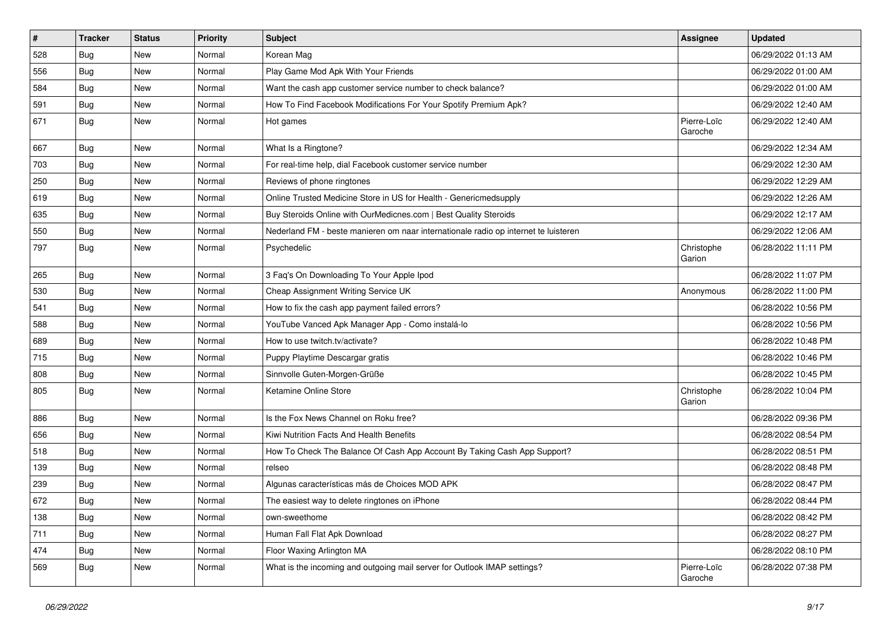| $\pmb{\#}$ | <b>Tracker</b> | <b>Status</b> | <b>Priority</b> | Subject                                                                             | <b>Assignee</b>        | <b>Updated</b>      |
|------------|----------------|---------------|-----------------|-------------------------------------------------------------------------------------|------------------------|---------------------|
| 528        | <b>Bug</b>     | New           | Normal          | Korean Mag                                                                          |                        | 06/29/2022 01:13 AM |
| 556        | <b>Bug</b>     | New           | Normal          | Play Game Mod Apk With Your Friends                                                 |                        | 06/29/2022 01:00 AM |
| 584        | Bug            | New           | Normal          | Want the cash app customer service number to check balance?                         |                        | 06/29/2022 01:00 AM |
| 591        | <b>Bug</b>     | New           | Normal          | How To Find Facebook Modifications For Your Spotify Premium Apk?                    |                        | 06/29/2022 12:40 AM |
| 671        | Bug            | New           | Normal          | Hot games                                                                           | Pierre-Loïc<br>Garoche | 06/29/2022 12:40 AM |
| 667        | <b>Bug</b>     | New           | Normal          | What Is a Ringtone?                                                                 |                        | 06/29/2022 12:34 AM |
| 703        | <b>Bug</b>     | New           | Normal          | For real-time help, dial Facebook customer service number                           |                        | 06/29/2022 12:30 AM |
| 250        | <b>Bug</b>     | New           | Normal          | Reviews of phone ringtones                                                          |                        | 06/29/2022 12:29 AM |
| 619        | <b>Bug</b>     | New           | Normal          | Online Trusted Medicine Store in US for Health - Genericmedsupply                   |                        | 06/29/2022 12:26 AM |
| 635        | Bug            | New           | Normal          | Buy Steroids Online with OurMedicnes.com   Best Quality Steroids                    |                        | 06/29/2022 12:17 AM |
| 550        | <b>Bug</b>     | New           | Normal          | Nederland FM - beste manieren om naar internationale radio op internet te luisteren |                        | 06/29/2022 12:06 AM |
| 797        | <b>Bug</b>     | New           | Normal          | Psychedelic                                                                         | Christophe<br>Garion   | 06/28/2022 11:11 PM |
| 265        | <b>Bug</b>     | New           | Normal          | 3 Faq's On Downloading To Your Apple Ipod                                           |                        | 06/28/2022 11:07 PM |
| 530        | <b>Bug</b>     | New           | Normal          | Cheap Assignment Writing Service UK                                                 | Anonymous              | 06/28/2022 11:00 PM |
| 541        | <b>Bug</b>     | New           | Normal          | How to fix the cash app payment failed errors?                                      |                        | 06/28/2022 10:56 PM |
| 588        | Bug            | New           | Normal          | YouTube Vanced Apk Manager App - Como instalá-lo                                    |                        | 06/28/2022 10:56 PM |
| 689        | <b>Bug</b>     | New           | Normal          | How to use twitch.tv/activate?                                                      |                        | 06/28/2022 10:48 PM |
| 715        | Bug            | New           | Normal          | Puppy Playtime Descargar gratis                                                     |                        | 06/28/2022 10:46 PM |
| 808        | <b>Bug</b>     | New           | Normal          | Sinnvolle Guten-Morgen-Grüße                                                        |                        | 06/28/2022 10:45 PM |
| 805        | Bug            | New           | Normal          | Ketamine Online Store                                                               | Christophe<br>Garion   | 06/28/2022 10:04 PM |
| 886        | Bug            | New           | Normal          | Is the Fox News Channel on Roku free?                                               |                        | 06/28/2022 09:36 PM |
| 656        | <b>Bug</b>     | New           | Normal          | Kiwi Nutrition Facts And Health Benefits                                            |                        | 06/28/2022 08:54 PM |
| 518        | <b>Bug</b>     | New           | Normal          | How To Check The Balance Of Cash App Account By Taking Cash App Support?            |                        | 06/28/2022 08:51 PM |
| 139        | Bug            | New           | Normal          | relseo                                                                              |                        | 06/28/2022 08:48 PM |
| 239        | <b>Bug</b>     | New           | Normal          | Algunas características más de Choices MOD APK                                      |                        | 06/28/2022 08:47 PM |
| 672        | Bug            | New           | Normal          | The easiest way to delete ringtones on iPhone                                       |                        | 06/28/2022 08:44 PM |
| 138        | <b>Bug</b>     | New           | Normal          | own-sweethome                                                                       |                        | 06/28/2022 08:42 PM |
| 711        | <b>Bug</b>     | New           | Normal          | Human Fall Flat Apk Download                                                        |                        | 06/28/2022 08:27 PM |
| 474        | <b>Bug</b>     | New           | Normal          | Floor Waxing Arlington MA                                                           |                        | 06/28/2022 08:10 PM |
| 569        | <b>Bug</b>     | New           | Normal          | What is the incoming and outgoing mail server for Outlook IMAP settings?            | Pierre-Loïc<br>Garoche | 06/28/2022 07:38 PM |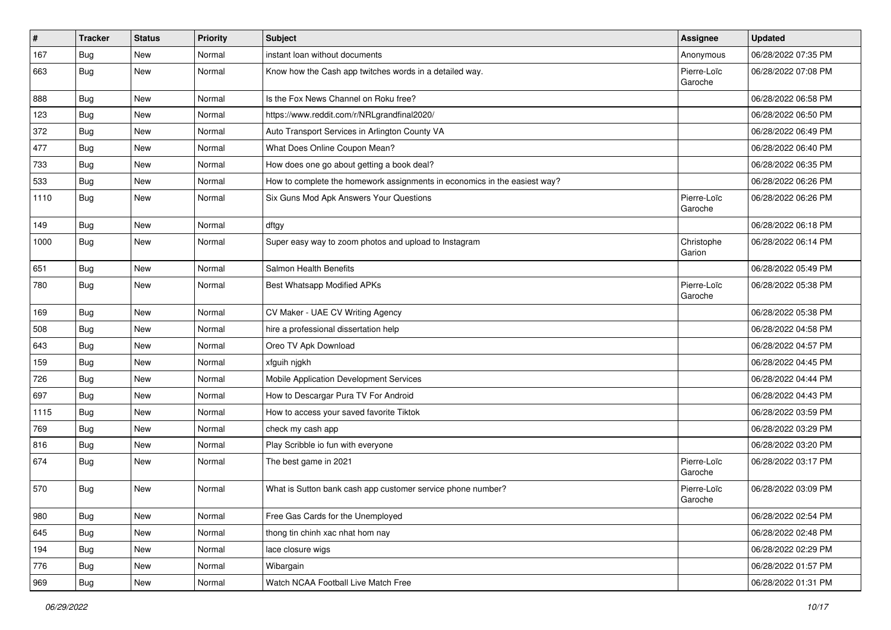| $\vert$ # | <b>Tracker</b> | <b>Status</b> | <b>Priority</b> | Subject                                                                   | <b>Assignee</b>        | <b>Updated</b>      |
|-----------|----------------|---------------|-----------------|---------------------------------------------------------------------------|------------------------|---------------------|
| 167       | <b>Bug</b>     | New           | Normal          | instant loan without documents                                            | Anonymous              | 06/28/2022 07:35 PM |
| 663       | Bug            | New           | Normal          | Know how the Cash app twitches words in a detailed way.                   | Pierre-Loïc<br>Garoche | 06/28/2022 07:08 PM |
| 888       | Bug            | New           | Normal          | Is the Fox News Channel on Roku free?                                     |                        | 06/28/2022 06:58 PM |
| 123       | Bug            | New           | Normal          | https://www.reddit.com/r/NRLgrandfinal2020/                               |                        | 06/28/2022 06:50 PM |
| 372       | Bug            | New           | Normal          | Auto Transport Services in Arlington County VA                            |                        | 06/28/2022 06:49 PM |
| 477       | <b>Bug</b>     | New           | Normal          | What Does Online Coupon Mean?                                             |                        | 06/28/2022 06:40 PM |
| 733       | <b>Bug</b>     | New           | Normal          | How does one go about getting a book deal?                                |                        | 06/28/2022 06:35 PM |
| 533       | <b>Bug</b>     | New           | Normal          | How to complete the homework assignments in economics in the easiest way? |                        | 06/28/2022 06:26 PM |
| 1110      | <b>Bug</b>     | New           | Normal          | Six Guns Mod Apk Answers Your Questions                                   | Pierre-Loïc<br>Garoche | 06/28/2022 06:26 PM |
| 149       | <b>Bug</b>     | <b>New</b>    | Normal          | dftgy                                                                     |                        | 06/28/2022 06:18 PM |
| 1000      | <b>Bug</b>     | New           | Normal          | Super easy way to zoom photos and upload to Instagram                     | Christophe<br>Garion   | 06/28/2022 06:14 PM |
| 651       | Bug            | New           | Normal          | Salmon Health Benefits                                                    |                        | 06/28/2022 05:49 PM |
| 780       | <b>Bug</b>     | New           | Normal          | <b>Best Whatsapp Modified APKs</b>                                        | Pierre-Loïc<br>Garoche | 06/28/2022 05:38 PM |
| 169       | <b>Bug</b>     | New           | Normal          | CV Maker - UAE CV Writing Agency                                          |                        | 06/28/2022 05:38 PM |
| 508       | Bug            | New           | Normal          | hire a professional dissertation help                                     |                        | 06/28/2022 04:58 PM |
| 643       | <b>Bug</b>     | New           | Normal          | Oreo TV Apk Download                                                      |                        | 06/28/2022 04:57 PM |
| 159       | Bug            | New           | Normal          | xfguih njgkh                                                              |                        | 06/28/2022 04:45 PM |
| 726       | <b>Bug</b>     | New           | Normal          | Mobile Application Development Services                                   |                        | 06/28/2022 04:44 PM |
| 697       | <b>Bug</b>     | New           | Normal          | How to Descargar Pura TV For Android                                      |                        | 06/28/2022 04:43 PM |
| 1115      | Bug            | New           | Normal          | How to access your saved favorite Tiktok                                  |                        | 06/28/2022 03:59 PM |
| 769       | Bug            | New           | Normal          | check my cash app                                                         |                        | 06/28/2022 03:29 PM |
| 816       | Bug            | New           | Normal          | Play Scribble io fun with everyone                                        |                        | 06/28/2022 03:20 PM |
| 674       | Bug            | New           | Normal          | The best game in 2021                                                     | Pierre-Loïc<br>Garoche | 06/28/2022 03:17 PM |
| 570       | Bug            | New           | Normal          | What is Sutton bank cash app customer service phone number?               | Pierre-Loïc<br>Garoche | 06/28/2022 03:09 PM |
| 980       | Bug            | New           | Normal          | Free Gas Cards for the Unemployed                                         |                        | 06/28/2022 02:54 PM |
| 645       | <b>Bug</b>     | New           | Normal          | thong tin chinh xac nhat hom nay                                          |                        | 06/28/2022 02:48 PM |
| 194       | Bug            | New           | Normal          | lace closure wigs                                                         |                        | 06/28/2022 02:29 PM |
| 776       | Bug            | New           | Normal          | Wibargain                                                                 |                        | 06/28/2022 01:57 PM |
| 969       | <b>Bug</b>     | New           | Normal          | Watch NCAA Football Live Match Free                                       |                        | 06/28/2022 01:31 PM |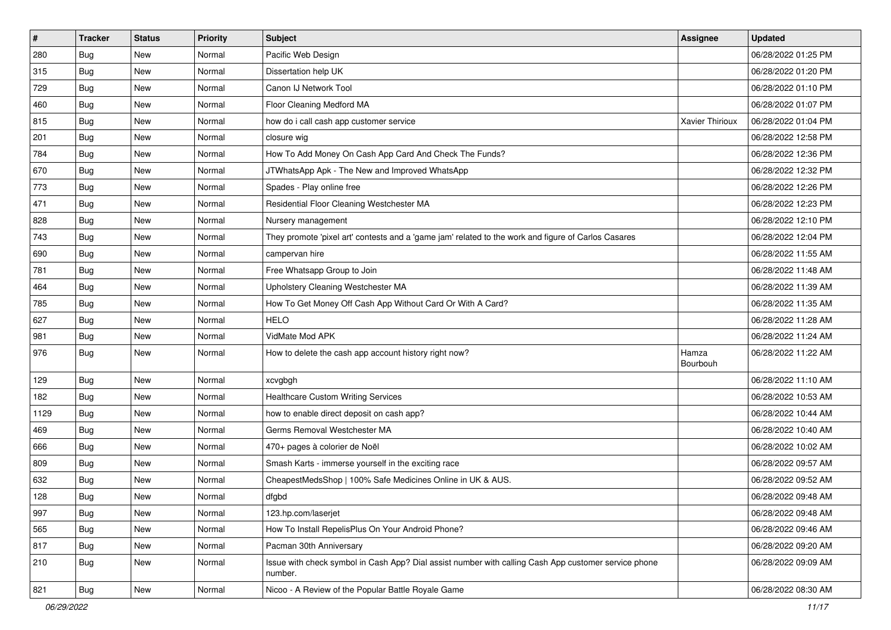| $\vert$ # | <b>Tracker</b> | <b>Status</b> | <b>Priority</b> | Subject                                                                                                         | <b>Assignee</b>   | <b>Updated</b>      |
|-----------|----------------|---------------|-----------------|-----------------------------------------------------------------------------------------------------------------|-------------------|---------------------|
| 280       | <b>Bug</b>     | New           | Normal          | Pacific Web Design                                                                                              |                   | 06/28/2022 01:25 PM |
| 315       | <b>Bug</b>     | <b>New</b>    | Normal          | Dissertation help UK                                                                                            |                   | 06/28/2022 01:20 PM |
| 729       | Bug            | New           | Normal          | Canon IJ Network Tool                                                                                           |                   | 06/28/2022 01:10 PM |
| 460       | <b>Bug</b>     | New           | Normal          | Floor Cleaning Medford MA                                                                                       |                   | 06/28/2022 01:07 PM |
| 815       | Bug            | New           | Normal          | how do i call cash app customer service                                                                         | Xavier Thirioux   | 06/28/2022 01:04 PM |
| 201       | Bug            | New           | Normal          | closure wig                                                                                                     |                   | 06/28/2022 12:58 PM |
| 784       | <b>Bug</b>     | New           | Normal          | How To Add Money On Cash App Card And Check The Funds?                                                          |                   | 06/28/2022 12:36 PM |
| 670       | Bug            | New           | Normal          | JTWhatsApp Apk - The New and Improved WhatsApp                                                                  |                   | 06/28/2022 12:32 PM |
| 773       | <b>Bug</b>     | New           | Normal          | Spades - Play online free                                                                                       |                   | 06/28/2022 12:26 PM |
| 471       | Bug            | New           | Normal          | Residential Floor Cleaning Westchester MA                                                                       |                   | 06/28/2022 12:23 PM |
| 828       | <b>Bug</b>     | New           | Normal          | Nursery management                                                                                              |                   | 06/28/2022 12:10 PM |
| 743       | <b>Bug</b>     | New           | Normal          | They promote 'pixel art' contests and a 'game jam' related to the work and figure of Carlos Casares             |                   | 06/28/2022 12:04 PM |
| 690       | Bug            | New           | Normal          | campervan hire                                                                                                  |                   | 06/28/2022 11:55 AM |
| 781       | <b>Bug</b>     | New           | Normal          | Free Whatsapp Group to Join                                                                                     |                   | 06/28/2022 11:48 AM |
| 464       | Bug            | New           | Normal          | Upholstery Cleaning Westchester MA                                                                              |                   | 06/28/2022 11:39 AM |
| 785       | <b>Bug</b>     | New           | Normal          | How To Get Money Off Cash App Without Card Or With A Card?                                                      |                   | 06/28/2022 11:35 AM |
| 627       | <b>Bug</b>     | New           | Normal          | <b>HELO</b>                                                                                                     |                   | 06/28/2022 11:28 AM |
| 981       | <b>Bug</b>     | New           | Normal          | VidMate Mod APK                                                                                                 |                   | 06/28/2022 11:24 AM |
| 976       | <b>Bug</b>     | New           | Normal          | How to delete the cash app account history right now?                                                           | Hamza<br>Bourbouh | 06/28/2022 11:22 AM |
| 129       | Bug            | New           | Normal          | xcvgbgh                                                                                                         |                   | 06/28/2022 11:10 AM |
| 182       | <b>Bug</b>     | New           | Normal          | <b>Healthcare Custom Writing Services</b>                                                                       |                   | 06/28/2022 10:53 AM |
| 1129      | Bug            | New           | Normal          | how to enable direct deposit on cash app?                                                                       |                   | 06/28/2022 10:44 AM |
| 469       | <b>Bug</b>     | New           | Normal          | Germs Removal Westchester MA                                                                                    |                   | 06/28/2022 10:40 AM |
| 666       | <b>Bug</b>     | New           | Normal          | 470+ pages à colorier de Noël                                                                                   |                   | 06/28/2022 10:02 AM |
| 809       | <b>Bug</b>     | New           | Normal          | Smash Karts - immerse yourself in the exciting race                                                             |                   | 06/28/2022 09:57 AM |
| 632       | <b>Bug</b>     | <b>New</b>    | Normal          | CheapestMedsShop   100% Safe Medicines Online in UK & AUS.                                                      |                   | 06/28/2022 09:52 AM |
| 128       | <b>Bug</b>     | New           | Normal          | dfgbd                                                                                                           |                   | 06/28/2022 09:48 AM |
| 997       | Bug            | New           | Normal          | 123.hp.com/laserjet                                                                                             |                   | 06/28/2022 09:48 AM |
| 565       | Bug            | New           | Normal          | How To Install RepelisPlus On Your Android Phone?                                                               |                   | 06/28/2022 09:46 AM |
| 817       | Bug            | New           | Normal          | Pacman 30th Anniversary                                                                                         |                   | 06/28/2022 09:20 AM |
| 210       | <b>Bug</b>     | New           | Normal          | Issue with check symbol in Cash App? Dial assist number with calling Cash App customer service phone<br>number. |                   | 06/28/2022 09:09 AM |
| 821       | <b>Bug</b>     | New           | Normal          | Nicoo - A Review of the Popular Battle Royale Game                                                              |                   | 06/28/2022 08:30 AM |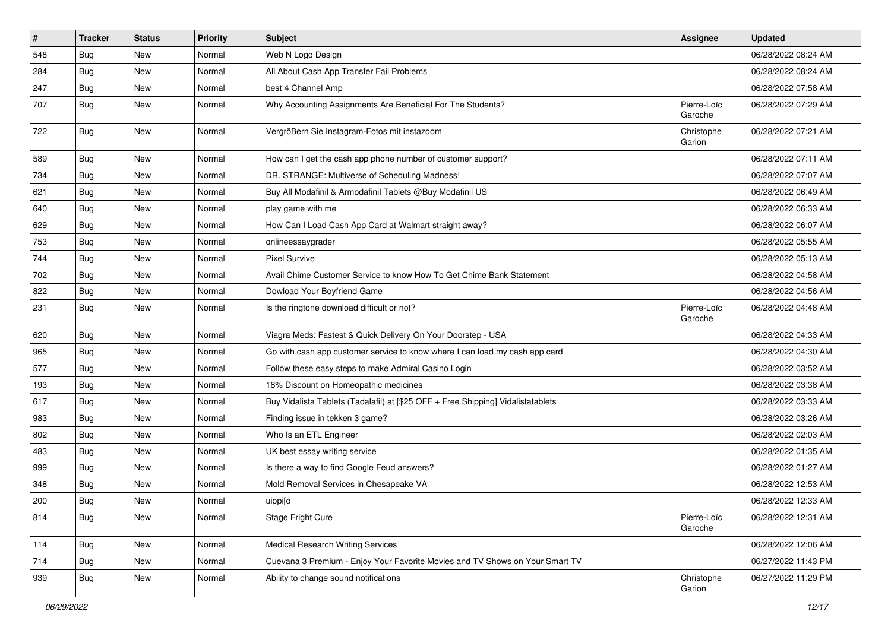| $\pmb{\#}$ | <b>Tracker</b> | <b>Status</b> | <b>Priority</b> | <b>Subject</b>                                                                   | <b>Assignee</b>        | <b>Updated</b>      |
|------------|----------------|---------------|-----------------|----------------------------------------------------------------------------------|------------------------|---------------------|
| 548        | <b>Bug</b>     | New           | Normal          | Web N Logo Design                                                                |                        | 06/28/2022 08:24 AM |
| 284        | <b>Bug</b>     | New           | Normal          | All About Cash App Transfer Fail Problems                                        |                        | 06/28/2022 08:24 AM |
| 247        | <b>Bug</b>     | New           | Normal          | best 4 Channel Amp                                                               |                        | 06/28/2022 07:58 AM |
| 707        | <b>Bug</b>     | New           | Normal          | Why Accounting Assignments Are Beneficial For The Students?                      | Pierre-Loïc<br>Garoche | 06/28/2022 07:29 AM |
| 722        | <b>Bug</b>     | New           | Normal          | Vergrößern Sie Instagram-Fotos mit instazoom                                     | Christophe<br>Garion   | 06/28/2022 07:21 AM |
| 589        | <b>Bug</b>     | New           | Normal          | How can I get the cash app phone number of customer support?                     |                        | 06/28/2022 07:11 AM |
| 734        | <b>Bug</b>     | New           | Normal          | DR. STRANGE: Multiverse of Scheduling Madness!                                   |                        | 06/28/2022 07:07 AM |
| 621        | Bug            | New           | Normal          | Buy All Modafinil & Armodafinil Tablets @Buy Modafinil US                        |                        | 06/28/2022 06:49 AM |
| 640        | <b>Bug</b>     | New           | Normal          | play game with me                                                                |                        | 06/28/2022 06:33 AM |
| 629        | <b>Bug</b>     | New           | Normal          | How Can I Load Cash App Card at Walmart straight away?                           |                        | 06/28/2022 06:07 AM |
| 753        | <b>Bug</b>     | New           | Normal          | onlineessaygrader                                                                |                        | 06/28/2022 05:55 AM |
| 744        | <b>Bug</b>     | New           | Normal          | <b>Pixel Survive</b>                                                             |                        | 06/28/2022 05:13 AM |
| 702        | <b>Bug</b>     | New           | Normal          | Avail Chime Customer Service to know How To Get Chime Bank Statement             |                        | 06/28/2022 04:58 AM |
| 822        | Bug            | New           | Normal          | Dowload Your Boyfriend Game                                                      |                        | 06/28/2022 04:56 AM |
| 231        | <b>Bug</b>     | New           | Normal          | Is the ringtone download difficult or not?                                       | Pierre-Loïc<br>Garoche | 06/28/2022 04:48 AM |
| 620        | <b>Bug</b>     | New           | Normal          | Viagra Meds: Fastest & Quick Delivery On Your Doorstep - USA                     |                        | 06/28/2022 04:33 AM |
| 965        | Bug            | New           | Normal          | Go with cash app customer service to know where I can load my cash app card      |                        | 06/28/2022 04:30 AM |
| 577        | <b>Bug</b>     | New           | Normal          | Follow these easy steps to make Admiral Casino Login                             |                        | 06/28/2022 03:52 AM |
| 193        | <b>Bug</b>     | New           | Normal          | 18% Discount on Homeopathic medicines                                            |                        | 06/28/2022 03:38 AM |
| 617        | Bug            | New           | Normal          | Buy Vidalista Tablets (Tadalafil) at [\$25 OFF + Free Shipping] Vidalistatablets |                        | 06/28/2022 03:33 AM |
| 983        | <b>Bug</b>     | New           | Normal          | Finding issue in tekken 3 game?                                                  |                        | 06/28/2022 03:26 AM |
| 802        | <b>Bug</b>     | New           | Normal          | Who Is an ETL Engineer                                                           |                        | 06/28/2022 02:03 AM |
| 483        | <b>Bug</b>     | New           | Normal          | UK best essay writing service                                                    |                        | 06/28/2022 01:35 AM |
| 999        | <b>Bug</b>     | New           | Normal          | Is there a way to find Google Feud answers?                                      |                        | 06/28/2022 01:27 AM |
| 348        | <b>Bug</b>     | New           | Normal          | Mold Removal Services in Chesapeake VA                                           |                        | 06/28/2022 12:53 AM |
| 200        | Bug            | New           | Normal          | uiopi[o                                                                          |                        | 06/28/2022 12:33 AM |
| 814        | <b>Bug</b>     | New           | Normal          | Stage Fright Cure                                                                | Pierre-Loïc<br>Garoche | 06/28/2022 12:31 AM |
| 114        | <b>Bug</b>     | New           | Normal          | <b>Medical Research Writing Services</b>                                         |                        | 06/28/2022 12:06 AM |
| 714        | <b>Bug</b>     | New           | Normal          | Cuevana 3 Premium - Enjoy Your Favorite Movies and TV Shows on Your Smart TV     |                        | 06/27/2022 11:43 PM |
| 939        | <b>Bug</b>     | New           | Normal          | Ability to change sound notifications                                            | Christophe<br>Garion   | 06/27/2022 11:29 PM |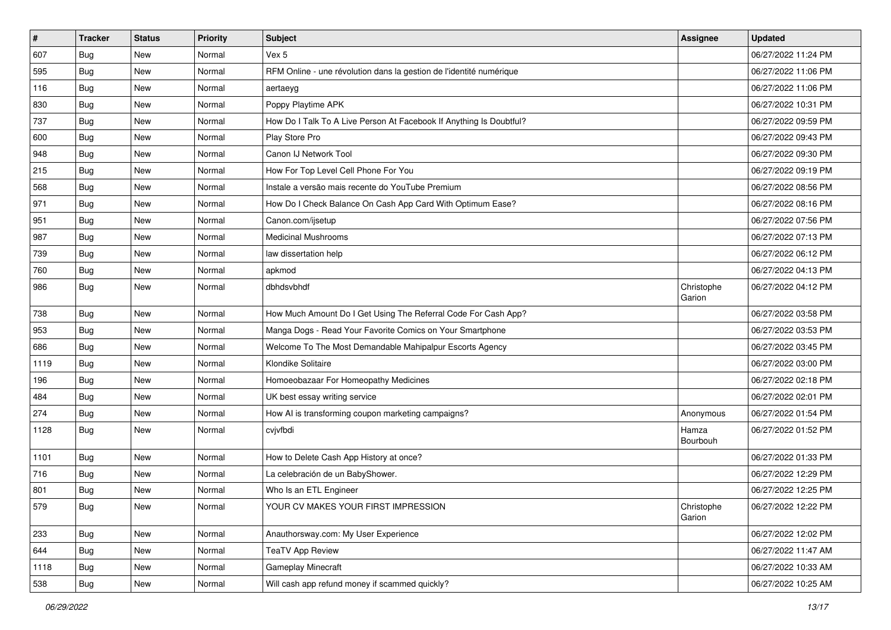| $\vert$ # | <b>Tracker</b> | <b>Status</b> | <b>Priority</b> | <b>Subject</b>                                                      | <b>Assignee</b>      | <b>Updated</b>      |
|-----------|----------------|---------------|-----------------|---------------------------------------------------------------------|----------------------|---------------------|
| 607       | <b>Bug</b>     | New           | Normal          | Vex 5                                                               |                      | 06/27/2022 11:24 PM |
| 595       | Bug            | New           | Normal          | RFM Online - une révolution dans la gestion de l'identité numérique |                      | 06/27/2022 11:06 PM |
| 116       | <b>Bug</b>     | New           | Normal          | aertaeyg                                                            |                      | 06/27/2022 11:06 PM |
| 830       | <b>Bug</b>     | <b>New</b>    | Normal          | Poppy Playtime APK                                                  |                      | 06/27/2022 10:31 PM |
| 737       | <b>Bug</b>     | <b>New</b>    | Normal          | How Do I Talk To A Live Person At Facebook If Anything Is Doubtful? |                      | 06/27/2022 09:59 PM |
| 600       | <b>Bug</b>     | New           | Normal          | Play Store Pro                                                      |                      | 06/27/2022 09:43 PM |
| 948       | <b>Bug</b>     | <b>New</b>    | Normal          | Canon IJ Network Tool                                               |                      | 06/27/2022 09:30 PM |
| 215       | <b>Bug</b>     | New           | Normal          | How For Top Level Cell Phone For You                                |                      | 06/27/2022 09:19 PM |
| 568       | <b>Bug</b>     | <b>New</b>    | Normal          | Instale a versão mais recente do YouTube Premium                    |                      | 06/27/2022 08:56 PM |
| 971       | Bug            | New           | Normal          | How Do I Check Balance On Cash App Card With Optimum Ease?          |                      | 06/27/2022 08:16 PM |
| 951       | <b>Bug</b>     | New           | Normal          | Canon.com/ijsetup                                                   |                      | 06/27/2022 07:56 PM |
| 987       | Bug            | New           | Normal          | <b>Medicinal Mushrooms</b>                                          |                      | 06/27/2022 07:13 PM |
| 739       | <b>Bug</b>     | New           | Normal          | law dissertation help                                               |                      | 06/27/2022 06:12 PM |
| 760       | <b>Bug</b>     | <b>New</b>    | Normal          | apkmod                                                              |                      | 06/27/2022 04:13 PM |
| 986       | <b>Bug</b>     | New           | Normal          | dbhdsvbhdf                                                          | Christophe<br>Garion | 06/27/2022 04:12 PM |
| 738       | <b>Bug</b>     | <b>New</b>    | Normal          | How Much Amount Do I Get Using The Referral Code For Cash App?      |                      | 06/27/2022 03:58 PM |
| 953       | Bug            | New           | Normal          | Manga Dogs - Read Your Favorite Comics on Your Smartphone           |                      | 06/27/2022 03:53 PM |
| 686       | <b>Bug</b>     | New           | Normal          | Welcome To The Most Demandable Mahipalpur Escorts Agency            |                      | 06/27/2022 03:45 PM |
| 1119      | <b>Bug</b>     | New           | Normal          | Klondike Solitaire                                                  |                      | 06/27/2022 03:00 PM |
| 196       | Bug            | <b>New</b>    | Normal          | Homoeobazaar For Homeopathy Medicines                               |                      | 06/27/2022 02:18 PM |
| 484       | <b>Bug</b>     | <b>New</b>    | Normal          | UK best essay writing service                                       |                      | 06/27/2022 02:01 PM |
| 274       | Bug            | <b>New</b>    | Normal          | How AI is transforming coupon marketing campaigns?                  | Anonymous            | 06/27/2022 01:54 PM |
| 1128      | Bug            | New           | Normal          | cvjvfbdi                                                            | Hamza<br>Bourbouh    | 06/27/2022 01:52 PM |
| 1101      | Bug            | New           | Normal          | How to Delete Cash App History at once?                             |                      | 06/27/2022 01:33 PM |
| 716       | <b>Bug</b>     | New           | Normal          | La celebración de un BabyShower.                                    |                      | 06/27/2022 12:29 PM |
| 801       | Bug            | New           | Normal          | Who Is an ETL Engineer                                              |                      | 06/27/2022 12:25 PM |
| 579       | Bug            | New           | Normal          | YOUR CV MAKES YOUR FIRST IMPRESSION                                 | Christophe<br>Garion | 06/27/2022 12:22 PM |
| 233       | Bug            | New           | Normal          | Anauthorsway.com: My User Experience                                |                      | 06/27/2022 12:02 PM |
| 644       | Bug            | New           | Normal          | <b>TeaTV App Review</b>                                             |                      | 06/27/2022 11:47 AM |
| 1118      | Bug            | New           | Normal          | <b>Gameplay Minecraft</b>                                           |                      | 06/27/2022 10:33 AM |
| 538       | <b>Bug</b>     | New           | Normal          | Will cash app refund money if scammed quickly?                      |                      | 06/27/2022 10:25 AM |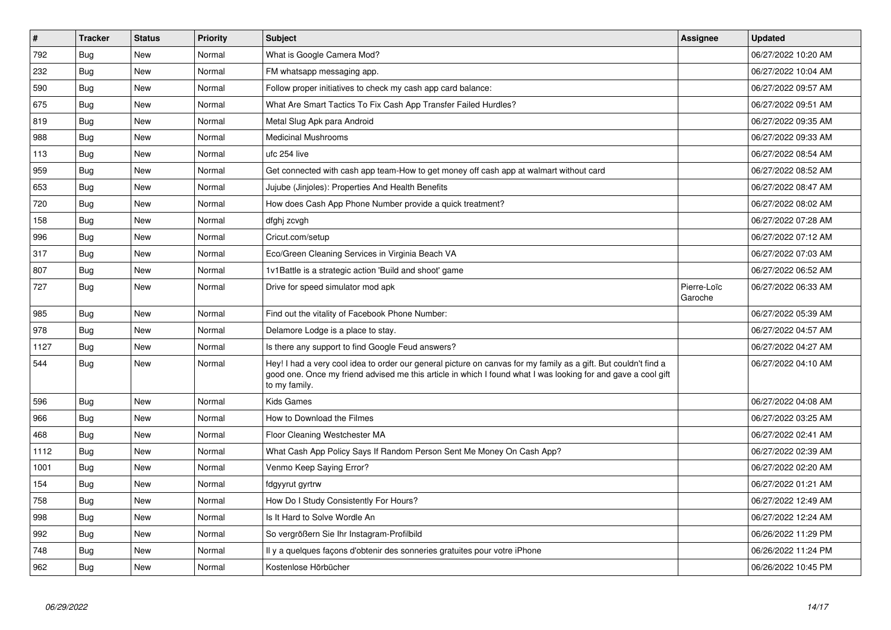| #    | <b>Tracker</b> | <b>Status</b> | Priority | <b>Subject</b>                                                                                                                                                                                                                                    | Assignee               | <b>Updated</b>      |
|------|----------------|---------------|----------|---------------------------------------------------------------------------------------------------------------------------------------------------------------------------------------------------------------------------------------------------|------------------------|---------------------|
| 792  | <b>Bug</b>     | <b>New</b>    | Normal   | What is Google Camera Mod?                                                                                                                                                                                                                        |                        | 06/27/2022 10:20 AM |
| 232  | <b>Bug</b>     | New           | Normal   | FM whatsapp messaging app.                                                                                                                                                                                                                        |                        | 06/27/2022 10:04 AM |
| 590  | <b>Bug</b>     | <b>New</b>    | Normal   | Follow proper initiatives to check my cash app card balance:                                                                                                                                                                                      |                        | 06/27/2022 09:57 AM |
| 675  | Bug            | <b>New</b>    | Normal   | What Are Smart Tactics To Fix Cash App Transfer Failed Hurdles?                                                                                                                                                                                   |                        | 06/27/2022 09:51 AM |
| 819  | <b>Bug</b>     | <b>New</b>    | Normal   | Metal Slug Apk para Android                                                                                                                                                                                                                       |                        | 06/27/2022 09:35 AM |
| 988  | Bug            | <b>New</b>    | Normal   | <b>Medicinal Mushrooms</b>                                                                                                                                                                                                                        |                        | 06/27/2022 09:33 AM |
| 113  | Bug            | <b>New</b>    | Normal   | ufc 254 live                                                                                                                                                                                                                                      |                        | 06/27/2022 08:54 AM |
| 959  | Bug            | <b>New</b>    | Normal   | Get connected with cash app team-How to get money off cash app at walmart without card                                                                                                                                                            |                        | 06/27/2022 08:52 AM |
| 653  | Bug            | <b>New</b>    | Normal   | Jujube (Jinjoles): Properties And Health Benefits                                                                                                                                                                                                 |                        | 06/27/2022 08:47 AM |
| 720  | Bug            | New           | Normal   | How does Cash App Phone Number provide a quick treatment?                                                                                                                                                                                         |                        | 06/27/2022 08:02 AM |
| 158  | <b>Bug</b>     | <b>New</b>    | Normal   | dfghj zcvgh                                                                                                                                                                                                                                       |                        | 06/27/2022 07:28 AM |
| 996  | Bug            | New           | Normal   | Cricut.com/setup                                                                                                                                                                                                                                  |                        | 06/27/2022 07:12 AM |
| 317  | <b>Bug</b>     | <b>New</b>    | Normal   | Eco/Green Cleaning Services in Virginia Beach VA                                                                                                                                                                                                  |                        | 06/27/2022 07:03 AM |
| 807  | Bug            | <b>New</b>    | Normal   | 1v1Battle is a strategic action 'Build and shoot' game                                                                                                                                                                                            |                        | 06/27/2022 06:52 AM |
| 727  | Bug            | New           | Normal   | Drive for speed simulator mod apk                                                                                                                                                                                                                 | Pierre-Loïc<br>Garoche | 06/27/2022 06:33 AM |
| 985  | <b>Bug</b>     | <b>New</b>    | Normal   | Find out the vitality of Facebook Phone Number:                                                                                                                                                                                                   |                        | 06/27/2022 05:39 AM |
| 978  | Bug            | <b>New</b>    | Normal   | Delamore Lodge is a place to stay.                                                                                                                                                                                                                |                        | 06/27/2022 04:57 AM |
| 1127 | <b>Bug</b>     | <b>New</b>    | Normal   | Is there any support to find Google Feud answers?                                                                                                                                                                                                 |                        | 06/27/2022 04:27 AM |
| 544  | <b>Bug</b>     | New           | Normal   | Hey! I had a very cool idea to order our general picture on canvas for my family as a gift. But couldn't find a<br>good one. Once my friend advised me this article in which I found what I was looking for and gave a cool gift<br>to my family. |                        | 06/27/2022 04:10 AM |
| 596  | Bug            | <b>New</b>    | Normal   | <b>Kids Games</b>                                                                                                                                                                                                                                 |                        | 06/27/2022 04:08 AM |
| 966  | <b>Bug</b>     | <b>New</b>    | Normal   | How to Download the Filmes                                                                                                                                                                                                                        |                        | 06/27/2022 03:25 AM |
| 468  | Bug            | <b>New</b>    | Normal   | Floor Cleaning Westchester MA                                                                                                                                                                                                                     |                        | 06/27/2022 02:41 AM |
| 1112 | <b>Bug</b>     | <b>New</b>    | Normal   | What Cash App Policy Says If Random Person Sent Me Money On Cash App?                                                                                                                                                                             |                        | 06/27/2022 02:39 AM |
| 1001 | Bug            | New           | Normal   | Venmo Keep Saying Error?                                                                                                                                                                                                                          |                        | 06/27/2022 02:20 AM |
| 154  | Bug            | New           | Normal   | fdgyyrut gyrtrw                                                                                                                                                                                                                                   |                        | 06/27/2022 01:21 AM |
| 758  | <b>Bug</b>     | <b>New</b>    | Normal   | How Do I Study Consistently For Hours?                                                                                                                                                                                                            |                        | 06/27/2022 12:49 AM |
| 998  | Bug            | New           | Normal   | Is It Hard to Solve Wordle An                                                                                                                                                                                                                     |                        | 06/27/2022 12:24 AM |
| 992  | Bug            | New           | Normal   | So vergrößern Sie Ihr Instagram-Profilbild                                                                                                                                                                                                        |                        | 06/26/2022 11:29 PM |
| 748  | Bug            | <b>New</b>    | Normal   | Il y a quelques façons d'obtenir des sonneries gratuites pour votre iPhone                                                                                                                                                                        |                        | 06/26/2022 11:24 PM |
| 962  | Bug            | <b>New</b>    | Normal   | Kostenlose Hörbücher                                                                                                                                                                                                                              |                        | 06/26/2022 10:45 PM |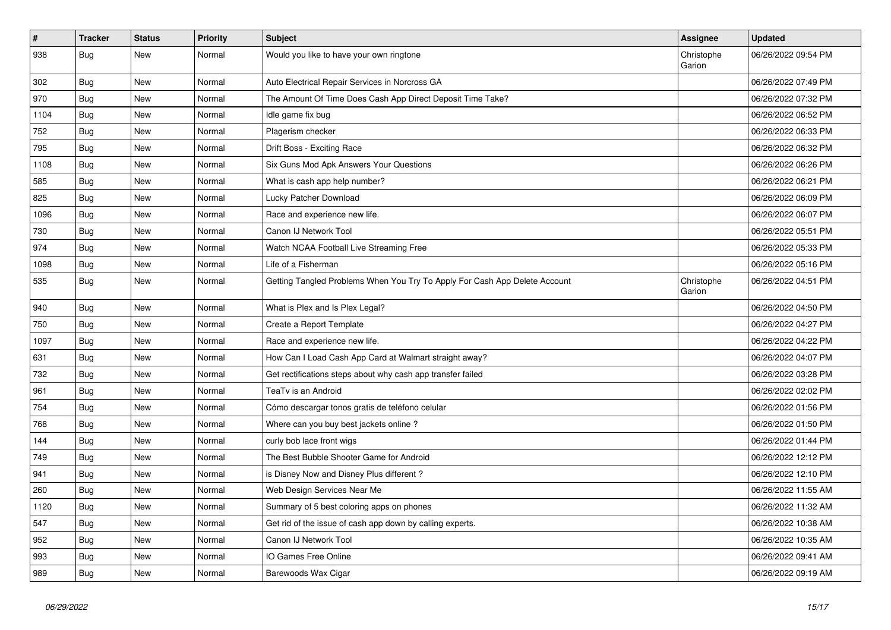| #    | <b>Tracker</b> | <b>Status</b> | <b>Priority</b> | <b>Subject</b>                                                             | <b>Assignee</b>      | <b>Updated</b>      |
|------|----------------|---------------|-----------------|----------------------------------------------------------------------------|----------------------|---------------------|
| 938  | Bug            | New           | Normal          | Would you like to have your own ringtone                                   | Christophe<br>Garion | 06/26/2022 09:54 PM |
| 302  | <b>Bug</b>     | <b>New</b>    | Normal          | Auto Electrical Repair Services in Norcross GA                             |                      | 06/26/2022 07:49 PM |
| 970  | Bug            | New           | Normal          | The Amount Of Time Does Cash App Direct Deposit Time Take?                 |                      | 06/26/2022 07:32 PM |
| 1104 | Bug            | New           | Normal          | Idle game fix bug                                                          |                      | 06/26/2022 06:52 PM |
| 752  | Bug            | <b>New</b>    | Normal          | Plagerism checker                                                          |                      | 06/26/2022 06:33 PM |
| 795  | <b>Bug</b>     | New           | Normal          | Drift Boss - Exciting Race                                                 |                      | 06/26/2022 06:32 PM |
| 1108 | <b>Bug</b>     | New           | Normal          | Six Guns Mod Apk Answers Your Questions                                    |                      | 06/26/2022 06:26 PM |
| 585  | Bug            | New           | Normal          | What is cash app help number?                                              |                      | 06/26/2022 06:21 PM |
| 825  | Bug            | New           | Normal          | Lucky Patcher Download                                                     |                      | 06/26/2022 06:09 PM |
| 1096 | Bug            | New           | Normal          | Race and experience new life.                                              |                      | 06/26/2022 06:07 PM |
| 730  | Bug            | New           | Normal          | Canon IJ Network Tool                                                      |                      | 06/26/2022 05:51 PM |
| 974  | <b>Bug</b>     | <b>New</b>    | Normal          | Watch NCAA Football Live Streaming Free                                    |                      | 06/26/2022 05:33 PM |
| 1098 | Bug            | New           | Normal          | Life of a Fisherman                                                        |                      | 06/26/2022 05:16 PM |
| 535  | Bug            | New           | Normal          | Getting Tangled Problems When You Try To Apply For Cash App Delete Account | Christophe<br>Garion | 06/26/2022 04:51 PM |
| 940  | Bug            | <b>New</b>    | Normal          | What is Plex and Is Plex Legal?                                            |                      | 06/26/2022 04:50 PM |
| 750  | Bug            | New           | Normal          | Create a Report Template                                                   |                      | 06/26/2022 04:27 PM |
| 1097 | <b>Bug</b>     | New           | Normal          | Race and experience new life.                                              |                      | 06/26/2022 04:22 PM |
| 631  | <b>Bug</b>     | <b>New</b>    | Normal          | How Can I Load Cash App Card at Walmart straight away?                     |                      | 06/26/2022 04:07 PM |
| 732  | <b>Bug</b>     | <b>New</b>    | Normal          | Get rectifications steps about why cash app transfer failed                |                      | 06/26/2022 03:28 PM |
| 961  | <b>Bug</b>     | <b>New</b>    | Normal          | TeaTv is an Android                                                        |                      | 06/26/2022 02:02 PM |
| 754  | <b>Bug</b>     | New           | Normal          | Cómo descargar tonos gratis de teléfono celular                            |                      | 06/26/2022 01:56 PM |
| 768  | Bug            | New           | Normal          | Where can you buy best jackets online?                                     |                      | 06/26/2022 01:50 PM |
| 144  | <b>Bug</b>     | <b>New</b>    | Normal          | curly bob lace front wigs                                                  |                      | 06/26/2022 01:44 PM |
| 749  | Bug            | <b>New</b>    | Normal          | The Best Bubble Shooter Game for Android                                   |                      | 06/26/2022 12:12 PM |
| 941  | <b>Bug</b>     | <b>New</b>    | Normal          | is Disney Now and Disney Plus different?                                   |                      | 06/26/2022 12:10 PM |
| 260  | <b>Bug</b>     | New           | Normal          | Web Design Services Near Me                                                |                      | 06/26/2022 11:55 AM |
| 1120 | <b>Bug</b>     | New           | Normal          | Summary of 5 best coloring apps on phones                                  |                      | 06/26/2022 11:32 AM |
| 547  | Bug            | New           | Normal          | Get rid of the issue of cash app down by calling experts.                  |                      | 06/26/2022 10:38 AM |
| 952  | <b>Bug</b>     | <b>New</b>    | Normal          | Canon IJ Network Tool                                                      |                      | 06/26/2022 10:35 AM |
| 993  | Bug            | <b>New</b>    | Normal          | IO Games Free Online                                                       |                      | 06/26/2022 09:41 AM |
| 989  | <b>Bug</b>     | <b>New</b>    | Normal          | Barewoods Wax Cigar                                                        |                      | 06/26/2022 09:19 AM |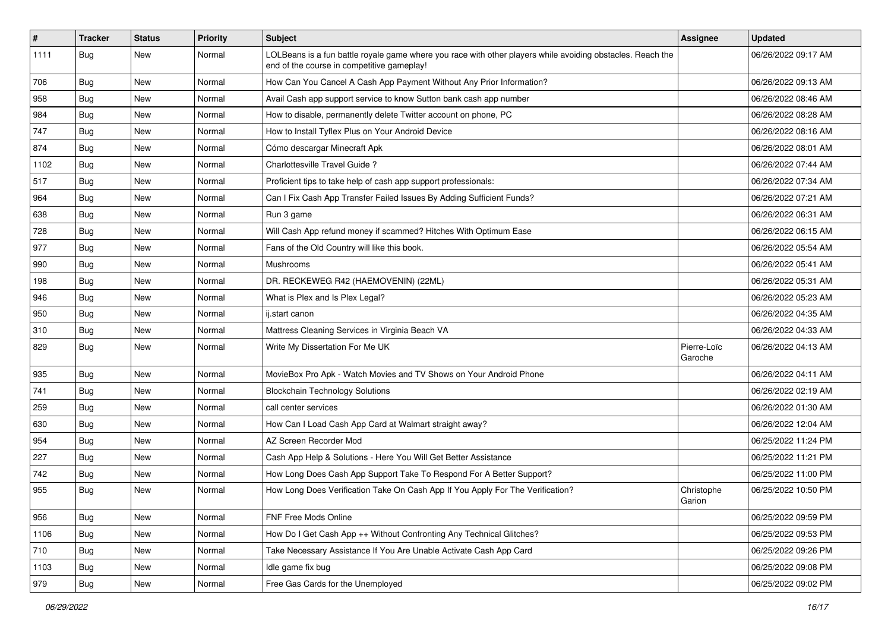| $\vert$ # | <b>Tracker</b> | <b>Status</b> | Priority | Subject                                                                                                                                                  | <b>Assignee</b>        | <b>Updated</b>      |
|-----------|----------------|---------------|----------|----------------------------------------------------------------------------------------------------------------------------------------------------------|------------------------|---------------------|
| 1111      | <b>Bug</b>     | New           | Normal   | LOLBeans is a fun battle royale game where you race with other players while avoiding obstacles. Reach the<br>end of the course in competitive gameplay! |                        | 06/26/2022 09:17 AM |
| 706       | Bug            | <b>New</b>    | Normal   | How Can You Cancel A Cash App Payment Without Any Prior Information?                                                                                     |                        | 06/26/2022 09:13 AM |
| 958       | Bug            | New           | Normal   | Avail Cash app support service to know Sutton bank cash app number                                                                                       |                        | 06/26/2022 08:46 AM |
| 984       | Bug            | <b>New</b>    | Normal   | How to disable, permanently delete Twitter account on phone, PC                                                                                          |                        | 06/26/2022 08:28 AM |
| 747       | <b>Bug</b>     | New           | Normal   | How to Install Tyflex Plus on Your Android Device                                                                                                        |                        | 06/26/2022 08:16 AM |
| 874       | <b>Bug</b>     | New           | Normal   | Cómo descargar Minecraft Apk                                                                                                                             |                        | 06/26/2022 08:01 AM |
| 1102      | Bug            | <b>New</b>    | Normal   | Charlottesville Travel Guide?                                                                                                                            |                        | 06/26/2022 07:44 AM |
| 517       | <b>Bug</b>     | New           | Normal   | Proficient tips to take help of cash app support professionals:                                                                                          |                        | 06/26/2022 07:34 AM |
| 964       | <b>Bug</b>     | <b>New</b>    | Normal   | Can I Fix Cash App Transfer Failed Issues By Adding Sufficient Funds?                                                                                    |                        | 06/26/2022 07:21 AM |
| 638       | Bug            | New           | Normal   | Run 3 game                                                                                                                                               |                        | 06/26/2022 06:31 AM |
| 728       | <b>Bug</b>     | New           | Normal   | Will Cash App refund money if scammed? Hitches With Optimum Ease                                                                                         |                        | 06/26/2022 06:15 AM |
| 977       | Bug            | <b>New</b>    | Normal   | Fans of the Old Country will like this book.                                                                                                             |                        | 06/26/2022 05:54 AM |
| 990       | Bug            | New           | Normal   | Mushrooms                                                                                                                                                |                        | 06/26/2022 05:41 AM |
| 198       | <b>Bug</b>     | New           | Normal   | DR. RECKEWEG R42 (HAEMOVENIN) (22ML)                                                                                                                     |                        | 06/26/2022 05:31 AM |
| 946       | Bug            | New           | Normal   | What is Plex and Is Plex Legal?                                                                                                                          |                        | 06/26/2022 05:23 AM |
| 950       | <b>Bug</b>     | <b>New</b>    | Normal   | ij.start canon                                                                                                                                           |                        | 06/26/2022 04:35 AM |
| 310       | Bug            | <b>New</b>    | Normal   | Mattress Cleaning Services in Virginia Beach VA                                                                                                          |                        | 06/26/2022 04:33 AM |
| 829       | Bug            | New           | Normal   | Write My Dissertation For Me UK                                                                                                                          | Pierre-Loïc<br>Garoche | 06/26/2022 04:13 AM |
| 935       | Bug            | <b>New</b>    | Normal   | MovieBox Pro Apk - Watch Movies and TV Shows on Your Android Phone                                                                                       |                        | 06/26/2022 04:11 AM |
| 741       | Bug            | New           | Normal   | <b>Blockchain Technology Solutions</b>                                                                                                                   |                        | 06/26/2022 02:19 AM |
| 259       | <b>Bug</b>     | <b>New</b>    | Normal   | call center services                                                                                                                                     |                        | 06/26/2022 01:30 AM |
| 630       | <b>Bug</b>     | New           | Normal   | How Can I Load Cash App Card at Walmart straight away?                                                                                                   |                        | 06/26/2022 12:04 AM |
| 954       | <b>Bug</b>     | New           | Normal   | AZ Screen Recorder Mod                                                                                                                                   |                        | 06/25/2022 11:24 PM |
| 227       | Bug            | <b>New</b>    | Normal   | Cash App Help & Solutions - Here You Will Get Better Assistance                                                                                          |                        | 06/25/2022 11:21 PM |
| 742       | <b>Bug</b>     | New           | Normal   | How Long Does Cash App Support Take To Respond For A Better Support?                                                                                     |                        | 06/25/2022 11:00 PM |
| 955       | Bug            | New           | Normal   | How Long Does Verification Take On Cash App If You Apply For The Verification?                                                                           | Christophe<br>Garion   | 06/25/2022 10:50 PM |
| 956       | Bug            | New           | Normal   | FNF Free Mods Online                                                                                                                                     |                        | 06/25/2022 09:59 PM |
| 1106      | <b>Bug</b>     | <b>New</b>    | Normal   | How Do I Get Cash App ++ Without Confronting Any Technical Glitches?                                                                                     |                        | 06/25/2022 09:53 PM |
| 710       | Bug            | New           | Normal   | Take Necessary Assistance If You Are Unable Activate Cash App Card                                                                                       |                        | 06/25/2022 09:26 PM |
| 1103      | Bug            | New           | Normal   | Idle game fix bug                                                                                                                                        |                        | 06/25/2022 09:08 PM |
| 979       | <b>Bug</b>     | New           | Normal   | Free Gas Cards for the Unemployed                                                                                                                        |                        | 06/25/2022 09:02 PM |